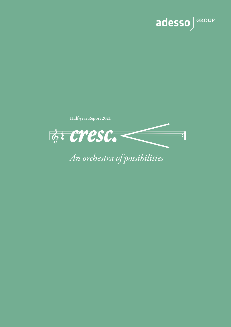

Half-year Report 2021



*An orchestra of possibilities*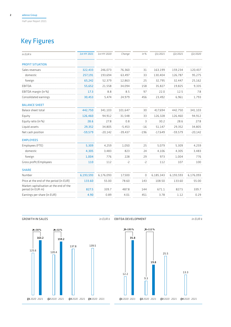# Key Figures

| in EUR k                                                     | 1st HY 2021 | 1st HY 2020 | Change    | in%    | 01/2021   | 02/2021   | 02/2020   |
|--------------------------------------------------------------|-------------|-------------|-----------|--------|-----------|-----------|-----------|
| <b>PROFIT SITUATION</b>                                      |             |             |           |        |           |           |           |
| Sales revenues                                               | 322,433     | 246,073     | 76,360    | 31     | 163,199   | 159,234   | 120,437   |
| domestic                                                     | 257,191     | 193,694     | 63,497    | 33     | 130,404   | 126,787   | 95,275    |
| foreign                                                      | 65,242      | 52,379      | 12,863    | 25     | 32,795    | 32,447    | 25,162    |
| EBITDA                                                       | 55,652      | 21,558      | 34,094    | 158    | 35,827    | 19,825    | 9,335     |
| EBITDA margin (in%)                                          | 17.3        | 8.8         | 8.5       | 97     | 22.0      | 12.5      | 7.8       |
| Consolidated earnings                                        | 30,453      | 5,474       | 24,979    | 456    | 23,492    | 6,961     | 1,793     |
| <b>BALANCE SHEET</b>                                         |             |             |           |        |           |           |           |
| Balace sheet total                                           | 442,750     | 341,103     | 101,647   | 30     | 417,694   | 442,750   | 341,103   |
| Equity                                                       | 126,460     | 94,912      | 31,548    | 33     | 126,328   | 126,460   | 94,912    |
| Equity ratio (in %)                                          | 28.6        | 27.8        | 0.8       | 3      | 30.2      | 28.6      | 27.8      |
| Liquid assets                                                | 29,352      | 34,805      | $-5,453$  | $-16$  | 51,147    | 29,352    | 34,805    |
| Net cash position                                            | $-59,579$   | $-20,142$   | $-39,437$ | $-196$ | $-17,649$ | $-59,579$ | $-20,142$ |
| <b>EMPLOYEES</b>                                             |             |             |           |        |           |           |           |
| Employees (FTE)                                              | 5,309       | 4,259       | 1,050     | 25     | 5,079     | 5,309     | 4,259     |
| domestic                                                     | 4,305       | 3,483       | 823       | 24     | 4,106     | 4,305     | 3,483     |
| foreign                                                      | 1,004       | 776         | 228       | 29     | 973       | 1,004     | 776       |
| Gross profit/Employees                                       | 110         | 112         | $-2$      | $-2$   | 112       | 107       | 100       |
| <b>SHARE</b>                                                 |             |             |           |        |           |           |           |
| Number                                                       | 6,193,593   | 6,176,093   | 17.500    | 0      | 6,185,343 | 6,193,593 | 6,176,093 |
| Price at the end of the period (in EUR)                      | 133.60      | 55.00       | 78.60     | 143    | 108.50    | 133.60    | 55.00     |
| Market capitalisation at the end of the<br>period (in EUR m) | 827.5       | 339.7       | 487.8     | 144    | 671.1     | 827.5     | 339.7     |
| Earnings per share (in EUR)                                  | 4.90        | 0.89        | 4.01      | 451    | 3.78      | 1.12      | 0.29      |
|                                                              |             |             |           |        |           |           |           |



*Q22020 2021 Q22020 2021 Q42020 2021 2021 Q32020 Q42020 Q12020 2021 Q32020 2021 2021*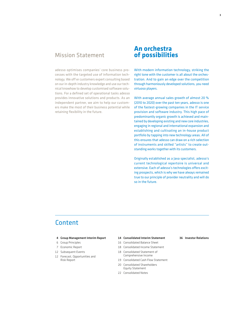### Mission Statement

adesso optimises companies' core business processes with the targeted use of information technology. We off er customers expert consulting based on our in-depth industry knowledge and use our technical knowhow to develop customised software solutions. For a defined set of operational tasks adesso provides innovative solutions and products. As an independent partner, we aim to help our customers make the most of their business potential while retaining flexibility in the future.

# **An orchestra of possibilities**

With modern information technology, striking the right tone with the customer is all about the orchestration. And to gain an edge over the competition through harmoniously developed solutions, you need virtuoso players.

With average annual sales growth of almost 20 % (2010 to 2020) over the past ten years, adesso is one of the fastest-growing companies in the IT service provision and software industry. This high pace of predominantly organic growth is achieved and maintained by developing existing and new core industries, engaging in regional and international expansion and establishing and cultivating an in-house product portfolio by tapping into new technology areas. All of this ensures that adesso can draw on a rich selection of instruments and skilled "artists" to create outstanding works together with its customers.

Originally established as a Java specialist, adesso's current technological repertoire is universal and extensive. Each of adesso's technologies offers exciting prospects, which is why we have always remained true to our principle of provider neutrality and will do so in the future.

# Content

- 6 Group Principles
- 7 Economic Report
- 12 Subsequent Events
- 12 Forecast, Opportunities and Risk Report

#### 4 Group Management Interim Report 36 Investor Relations 14 Consolidated Interim Statement

- 16 Consolidated Balance Sheet
- 18 Consolidated Income Statement
- 18 Consolidated Statement of Comprehensive Income
- 19 Consolidated Cash Flow Statement
- 20 Consolidated Shareholders Equity Statement
- 22 Consolidated Notes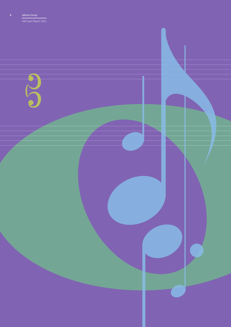Half-year Report 2021

SC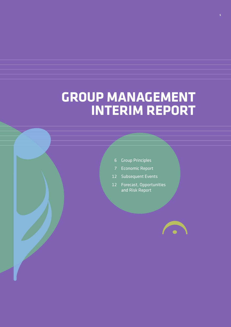# **GROUP MANAGEMENT INTERIM REPORT**

- 6 Group Principles
- 7 Economic Report
- 12 Subsequent Events
- 12 Forecast, Opportunities and Risk Report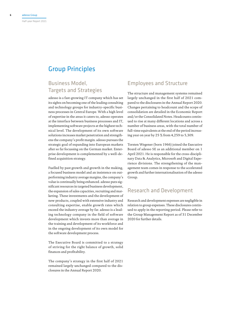# Group Principles

### Business Model, Targets and Strategies

adesso is a fast-growing IT company which has set its sights on becoming one of the leading consulting and technology groups for industry-specific business processes in Central Europe. With a high level of expertise in the areas it caters to, adesso operates at the interface between business processes and IT, implementing software projects at the highest technical level. The development of its own software solutions increases market penetration and strengthens the company's profit margin. adesso pursues the strategic goal of expanding into European markets after so far focussing on the German market. Enterprise development is complemented by a well-defined acquisition strategy.

Fuelled by past growth and growth in the making, a focused business model and an insistence on outperforming industry average margins, the company's value is continually being enhanced. adesso puts significant resources in targeted business development, the expansion of sales capacities, recruiting and marketing. These investments and the development of new products, coupled with extensive industry and consulting expertise, enable growth rates which exceed the industry average by far. adesso is a leading technology company in the field of software development which invests more than average in the training and development of its workforce and in the ongoing development of its own model for the software development process.

The Executive Board is committed to a strategy of striving for the right balance of growth, solid finances and profitability.

The company's strategy in the first half of 2021 remained largely unchanged compared to the disclosures in the Annual Report 2020.

### Employees and Structure

The structure and management systems remained largely unchanged in the first half of 2021 compared to the disclosures in the Annual Report 2020. Changes pertaining to headcount and the scope of consolidation are detailed in the Economic Report and/or the Consolidated Notes. Headcounts continued to rise at many different locations and across a number of business areas, with the total number of full-time equivalents at the end of the period increasing year on year by 25 % from 4,259 to 5,309.

Torsten Wegener (born 1966) joined the Executive Board of adesso SE as an additional member on 1 April 2021. He is responsible for the cross-disciplinary Data & Analytics, Microsoft and Digital Experience divisions. The strengthening of the management team comes in response to the accelerated growth and further internationalisation of the adesso Group.

### Research and Development

Research and development expenses are negligible in relation to group expenses. These disclosures continued to apply in the reporting period. Please refer to the Group Management Report as of 31 December 2020 for further details.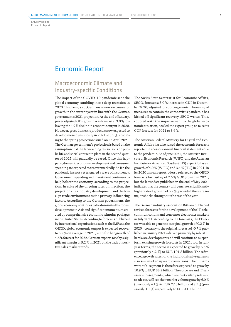### Economic Report

### Macroeconomic Climate and Industry-specific Conditions

The impact of the COVID-19 pandemic sent the global economy tumbling into a deep recession in 2020. That being said, Germany is now on course for growth in the current year in line with the German government's 2021 projection. At the end of January, price-adjusted GDP growth was forecast at 3.0 % following the 4.9 % decline in economic output in 2020. However, gross domestic product is now expected to develop more dynamically in 2021 at 3.5 %, according to the spring projection issued on 27 April 2021. The German government's projection is based on the assumption that the far-reaching restrictions on public life and social contact in place in the second quarter of 2021 will gradually be eased. Once this happens, domestic economy development and consumer spending are expected to recover markedly. So far, the pandemic has not yet triggered a wave of insolvency. Government spending and investment continues to help bolster the economy, according to the projection. In spite of the ongoing rates of infection, the projection cites industry development and the foreign trade environment as the primary influencing factors. According to the German government, the global economy continues to be dominated by robust development in Asia and significant momentum created by comprehensive economic stimulus packages in the United States. According to forecasts published by international organisations such as the IMF and the OECD, global economic output is expected recover to 5.7 % on average in 2021, with further growth of 4.6 % forecast for 2022. German exports rose by a significant margin of 9.2 % in 2021 on the back of positive sales market trends.

The Swiss State Secretariat for Economic Affairs, SECO, forecast a 3.0 % increase in GDP in December 2020, adjusted for sporting events. The easing of measures to contain the coronavirus pandemic has kicked off significant recovery, SECO writes. This, coupled with the improvement to the global economic situation, has led the expert group to raise its GDP forecast for 2021 to 3.6 %.

The Austrian Federal Ministry for Digital and Economic Affairs has also raised the economic forecasts reported in adesso's annual financial statements due to the pandemic. As of June 2021, the Austrian Institute of Economic Research (WIFO) and the Austrian Institute for Advanced Studies (IHS) expect full-year growth of 4.0 % (WIFO) and 3.4 % (IHS) in 2021. In its 2020 annual report, adesso referred to the OECD forecasts for Turkey of 2.6 % GDP growth in 2021, but the latest data published in the end of May 2021 indicates that the country will generate a significantly higher rate of growth of 5.7 %, provided there are no major shocks throughout the rest of the year.

The German industry association Bitkom published revised forecasts for the development of the IT, telecommunications and consumer electronics markets in July 2021. According to the forecasts, the IT sector was able to generate marginal growth of 0.2 % in 2020 – contrary to the original forecast of -0.7 % published in January 2021 – driven primarily by robust IT hardware development and will continue to outperform existing growth forecasts in 2021, too. In fullyear terms, the sector is expected to grow by 6.6 % (previously 4.2 %) to EUR 101.8 billion. The referenced growth rates for the individual sub-segments also saw marked upward corrections. The IT hardware sub-segment is therefore expected to grow by 10.9 % to EUR 33.2 billion. The software and IT services sub-segments, which are particularly relevant to adesso, will see their market volume grow by 6.0 % (previously 4.1 %) to EUR 27.5 billion and 3.7 % (previously 1.1 %) respectively to EUR 41.1 billion.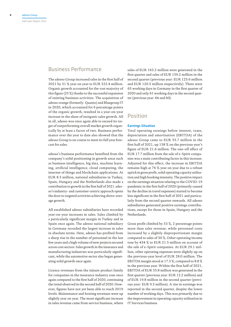### Business Performance

The adesso Group increased sales in the first half of 2021 by 31 % year on year to EUR 322.4 million. Organic growth accounted for the vast majority of this figure (25 %) thanks to the successful expansion of existing business activities. The acquisition of adesso orange (formerly: Quanto) and Bluegroup IT in 2020, which accounted for 6 percentage points of the organic growth, resulted in a year-on-year increase in the share of inorganic sales growth. All in all, adesso was once again able to exceed its target of outperforming overall market growth organically by at least a factor of two. Business performance over the year to date also showed that the adesso Group is on course to meet its full year forecast for sales.

adesso's business performance benefited from the company's solid positioning in growth areas such as business intelligence, big data, machine learning, artificial intelligence, cloud computing, the internet of things and blockchain applications. At EUR 8.3 million, national subsidiaries in Turkey, Spain, Hungary and the Netherlands also made a contribution to growth in the first half of 2021. adesso's industry- and customer-centric approach opens the door to targeted activities achieving above-average growth.

All established adesso subsidiaries have recorded year-on-year increases in sales. Sales climbed by a particularly significant margin in Turkey and in Spain once again. The adesso national subsidiary in Germany recorded the largest increase in sales in absolute terms. Here, adesso has profited from a sharp rise in the number of personnel in the last few years and a high volume of new projects secured across core sectors. Sales growth in the insurance and manufacturing industries was particularly significant, while the automotive sector also began generating solid growth once again.

Licence revenues from the in|sure product family for companies in the insurance industry rose once again compared to the first half of 2020, continuing the trend observed in the second half of 2020. However, figures have not yet been able to reach 2019 levels. Maintenance and hosting revenues were up slightly year on year. The most significant increase in sales revenue came from service business, where

sales of EUR 163.2 million were generated in the first quarter and sales of EUR 159.2 million in the second quarter (previous year: EUR 125.6 million and EUR 120.5 million respectively). There were 63 working days in Germany in the first quarter of 2020 and only 61 working days in the second quarter (previous year: 64 and 60).

### Position

#### Earnings Situation

Total operating earnings before interest, taxes, depreciation and amortisation (EBITDA) of the adesso Group came to EUR 55.7 million in the first half of 2021, up 158 % on the previous year's figure of EUR 21.6 million. The one-off effect of EUR 17.7 million from the sale of e-Spirit companies was a main contributing factor in this increase. Adjusted for this effect, the increase in EBITDA remains high at 76 % year on year due to a robust uptick in gross profit, solid operating capacity utilisation and high booking intensity. The positive impact on the earnings situation relating to the COVID-19 pandemic in the first half of 2020 (primarily caused by the decline in travel expenses) started to become less significant in the first half of 2021 and particularly from the second quarter onwards. All adesso subsidiaries generated positive earnings contributions, except for those in Spain, Hungary and the Netherlands.

Gross profit climbed by 33 %, 2 percentage points more than sales revenue, while personnel costs increased by a slightly disproportionate margin compared to sales of 30 %. Other operating income rose by 434 % to EUR 21.5 million on account of the sale of e-Spirit companies. At EUR 29.1 million, other operating expenses were slightly up on the previous-year level of EUR 28.0 million. The EBITDA margin stood at 17.3 %, compared to 8.8 % in the previous year. Within the first half of 2021, EBITDA of EUR 35.8 million was generated in the first quarter (previous year: EUR 12.2 million) and of EUR 19.8 million in the second quarter (previous year: EUR 9.3 million). A rise in earnings was reported in the second quarter, despite the lower number of working days. This was primarily due to the improvement in operating capacity utilisation in IT Services business.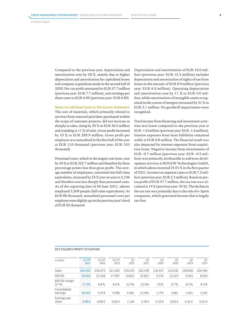Economic Report

Compared to the previous year, depreciation and amortisation rose by 28 %, mainly due to higher depreciation and amortisation for capitalised leases and company acquisitions made in the second half of 2020. Pre-tax profit amounted to EUR 37.7 million (previous year: EUR 7.7 million), and earnings per share came to EUR 4.90 (previous year: EUR 0.89)

#### Notes on Individual Items in the Income Statement

The cost of materials, which primarily related to services from external providers purchased within the scope of customer projects, did not increase as sharply as sales, rising by 20 % to EUR 36.5 million and standing at 11 % of sales. Gross profit increased by 33 % to EUR 285.9 million. Gross profit per employee was annualised in the first half of the year at EUR 110 thousand (previous year: EUR 103 thousand).

Personnel costs, which is the largest cost item, rose by 30 % to EUR 222.7 million and therefore by three percentage points less than gross profit. The average number of employees, converted into full-time equivalents, increased by 23 % year on year to 5,194 and therefore rose less sharply than personnel costs. As of the reporting date of 30 June 2021, adesso employed 5,309 people (full-time equivalents). At EUR 86 thousand, annualised personnel costs per employee were slightly up on the previous year's level of EUR 82 thousand.

Depreciation and amortisation of EUR 16.0 million (previous year: EUR 12.5 million) includes depreciation and amortisation of rights of use from leases in the amount of EUR 8.9 million (previous year: EUR 6.9 million). Operating depreciation and amortisation rose by 11 % to EUR 5.0 million, while amortisation of intangible assets recognised in the course of mergers increased by 91 % to EUR 2.1 million. No goodwill impairments were recognised.

Total income from financing and investment activities was lower compared to the previous year at EUR -1.9 million (previous year: EUR -1.4 million). Interest expenses from lease liabilities remained stable at EUR 0.8 million. The financial result was also impacted by interest expenses from acquisition loans. Negative income from investments of EUR -0.7 million (previous year: EUR -0.2 million) was primarily attributable to software development services at ROGON Technologies GmbH, in which adesso invested 25.01 % in the first quarter of 2021. Income tax expense came to EUR 7.2 million (previous year: EUR 2.2 million). Based on pretax profit of EUR 37.7 million, the tax rate was calculated at 19 % (previous year: 29 %). The decline in the tax rate was primarily due to the sale of e-Spirit companies, which generated income that is largely tax-free.

| In $F$ <i>IR</i> $k$     | $1st$ HV<br>2021                                  | $1$ st $HY$<br>2020 | 1stHY<br>2019            | 2021                                               | 01<br>2021                                                                            | 2020                                                 | 01<br>2N2N                                      | 2N 19                                            | 2N 19                                               |
|--------------------------|---------------------------------------------------|---------------------|--------------------------|----------------------------------------------------|---------------------------------------------------------------------------------------|------------------------------------------------------|-------------------------------------------------|--------------------------------------------------|-----------------------------------------------------|
| Sales                    | 322.433<br>-------------------------------------- | 246.073             | 213.305                  | 159.234                                            | 163.199                                                                               | 120.437                                              | 125.636                                         | 109.859                                          | 103.446<br>-------------------------------------    |
| FRITDA                   | 55.652                                            | 21.558              | 17.997                   | 19.825                                             | 35.827                                                                                | 9.335                                                | 12.223                                          | 9.363                                            | 8.634                                               |
| EBITDA margin<br>(in %)  | 17.3%                                             | <br>$8.8\%$         | <br>$8.4\%$<br>          | <br>12.5%<br>------------------------------------- | ------------------------------------<br>22 በ%<br>------------------------------------ | <br>$7.8\%$<br>------------------------------------- | ------------------------------------<br>97%     | <br>85%<br>------------------------------------- | <br>$8.3\%$<br>------------------------------------ |
| Consolidated<br>earnings | 30.453                                            | 5.474               | 4.096                    | 6.961                                              | 23.492<br>--------------------------------------                                      | 1.793                                                | 3.681<br>-------------------------------------- | 951<br>                                          | 145                                                 |
| Earnings per<br>share    | 4.90 $\epsilon$                                   | 0.89 f              | $0.66 \text{ } \epsilon$ | 1 1 2 €                                            | $3.78 \text{ } \in$                                                                   | 0.29 f                                               | 0.60 f                                          | $0.31 \notin$                                    | 0.35 f                                              |

#### KEY FIGURES PROFIT SITUATION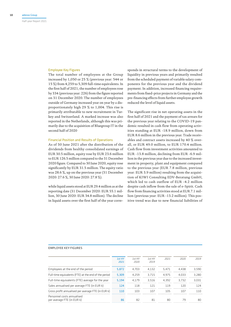#### Employee Key Figures

The total number of employees at the Group increased by 1,050 or 25 % (previous year: 544 or 15 %) from 4,259 to 5,309 full-time equivalents. In the first half of 2021, the number of employees rose by 334 (previous year: 226) from the figure reported on 31 December 2020. The number of employees outside of Germany increased year on year by a disproportionately high 29 % to 1,004. This rise is primarily attributable to new recruitment in Turkey and Switzerland. A marked increase was also reported in the Netherlands, although this was primarily due to the acquisition of Bluegroup IT in the second half of 2020

#### Financial Position and Results of Operations

As of 30 June 2021 after the distribution of the dividends from healthy consolidated earnings of EUR 30.5 million, equity rose by EUR 23.6 million to EUR 126.5 million compared to the 31 December 2020 figure. Compared to 30 June 2020, equity rose significantly by EUR 31.5 million. The equity ratio was 28.6 %, up on the previous year (31 December 2020: 27.6 %, 30 June 2020: 27.8 %).

while liquid assets stood at EUR 29.4 million as at the reporting date (31 December 2020: EUR 55.1 million, 30 June 2020: EUR 34.8 million). The decline in liquid assets over the first half of the year corre-

sponds in structural terms to the development of liquidity in previous years and primarily resulted from the scheduled payment of variable salary components for the previous year and the dividend payment. In addition, increased financing requirements from fixed-price projects in Germany and the pre-financing effects from further employee growth reduced the level of liquid assets.

The significant rise in net operating assets in the first half of 2021 and the payment of tax arrears for the previous year relating to the COVID-19 pandemic resulted in cash flow from operating activities standing at EUR -18.9 million, down from EUR 8.6 million in the previous year. Trade receivables and contract assets increased by 40 % overall, or EUR 49.0 million, to EUR 170.4 million. Cash flow from investment activities amounted to EUR -13.8 million, declining from EUR -6.9 million in the previous year due to the increased investment in property, plant and equipment compared to the previous year (EUR 7.8 million, previous year: EUR 3.9 million) resulting from the acquisition of KIWI Consulting EDV-Beratung GmbH, which led to cash outflow of EUR -4.2 million despite cash inflow from the sale of e-Spirit. Cash flow from financing activities stood at EUR 7.1 million (previous year: EUR -13.2 million). This positive trend was due to new financial liabilities of

#### EMPLOYEE KEY FIGURES

|                                                          | $1st$ HY<br>2021 | $1$ st $HY$<br>2020 | $1$ st H $V$<br>2019 | 2021  | 2020    | 2019  |
|----------------------------------------------------------|------------------|---------------------|----------------------|-------|---------|-------|
| Employees at the end of the period                       | 5.872            | 4.703               | 4.132                | 5.471 | 4.438   | 3.590 |
| Full-time equivalents (FTE) at the end of the period     | 5.309            | 4 2 5 9             | 3.715                | 4.975 | 4 N 3 3 | 3.280 |
| Full-time equivalents (FTE) average for the year         | 5.194            | 4.179               | 3.516                | 4392  | 3.732   | ורה ר |
| Sales annualised per average FTE (in EUR k)              | 174              | 118                 | 1 7 1                | 119   | 1 2 N   | 174   |
| Gross profit annualised per average FTE (in EUR k)       | 11 N             | 1 ก ว               | 1 N 7                | 1 N 5 | 1 N 7   |       |
| Personnel costs annualised<br>per average FTE (in EUR k) |                  |                     |                      | Яſ    |         |       |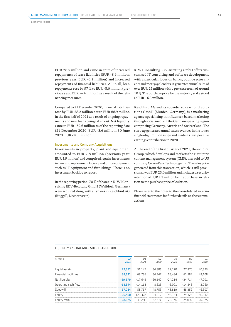EUR 28.5 million and came in spite of increased repayments of lease liabilities (EUR -8.9 million; previous year: EUR -6.3 million) and increased repayments of financial liabilities. All in all, loan repayments rose by 97 % to EUR -8.6 million (previous year: EUR -4.4 million) as a result of the refinancing measures.

Compared to 31 December 2020, financial liabilities rose by EUR 28.2 million net to EUR 88.9 million in the first half of 2021 as a result of ongoing repayments and new loans being taken out. Net liquidity came to EUR -59.6 million as of the reporting date (31 December 2020: EUR -5.6 million; 30 June 2020: EUR -20.1 million).

#### Investments and Company Acquisitions

Investments in property, plant and equipment amounted to EUR 7.8 million (previous year: EUR 3.9 million) and comprised regular investments in new and replacement factory and office equipment such as IT equipment and furnishings. There is no investment backlog to report.

In the reporting period, 70 % of shares in KIWI Consulting EDV-Beratung GmbH (Walldorf, Germany) were acquired along with all shares in Reachbird AG (Ruggell, Liechtenstein).

KIWI Consulting EDV-Beratung GmbH offers customised IT consulting and software development with a particular focus on banks, public-sector clients and mortgage lenders. It generates annual sales of over EUR 25 million with a pre-tax return of around 10 %. The purchase price for the majority stake stood at EUR 16.3 million.

Reachbird AG and its subsidiary, Reachbird Solutions GmbH (Munich, Germany), is a marketing agency specialising in influencer-based marketing through social media in the German-speaking region comprising Germany, Austria and Switzerland. The start-up generates annual sales revenues in the lower single-digit million range and made its first positive earnings contribution in 2020.

At the end of the first quarter of 2021, the e-Spirit Group, which develops and markets the FirstSpirit content management system (CMS), was sold to US company CrownPeak Technology Inc. The sales price generated from this transaction, which is still provisional, was EUR 23.0 million and includes a security retention of EUR 1.3 million for the purchaser in relation to the purchase price calculation.

Please refer to the notes to the consolidated interim financial statements for further details on these transactions.

#### LIQUIDITY AND BALANCE SHEET STRUCTURE

| $in$ FUR $k$                 | 02<br>2021 | 01<br>2021 | ΟZ<br>2020 | 01<br>2020 | 02<br>2019 | 01<br>2019 |
|------------------------------|------------|------------|------------|------------|------------|------------|
| Liquid assets                | 29.352     | 51.147     | 34.805     | 32.270     | 27.870     | 40.523     |
| <b>Financial liabilities</b> | 88.931     | 68.796     | 54.947     | 56.484     | 62.584     | 48.108     |
| Net liquidity                | $-59.579$  | $-17.649$  | -20.142    | -24.214    | $-34.714$  | $-7.001$   |
| Operating cash flow          | $-18.944$  | $-14.118$  | 8.629      | $-6.001$   | $-14.243$  | 2.060      |
| Goodwill                     | 67.084     | 58.767     | 48.753     | 48.819     | 48.352     | 46.307     |
| Equity                       | 126,460    | 126.328    | 94.912     | 96.144     | 79.328     | 80.347     |
| Equity ratio                 | 28.6%      | 30 2 %     | 27 8 %     | 29 1 %     | 25 በ %     | 26 በ %     |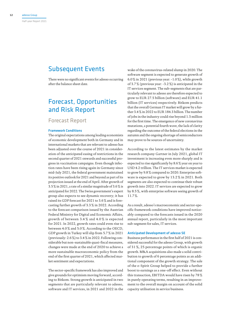### Subsequent Events

There were no significant events for adesso occurring after the balance sheet date.

# Forecast, Opportunities and Risk Report

Forecast Report

#### Framework Conditions

The original expectations among leading economists of economic development both in Germany and in international markets that are relevant to adesso has been adjusted over the course of 2021 in consideration of the anticipated easing of restrictions in the second quarter of 2021 onwards and successful progress in vaccination campaigns. Even though infection rates have been rising again in Germany since mid-July 2021, the federal government maintained its positive outlook for 2021 and beyond as part of its projection issued at the end of April. After growth of 3.5% in 2021, a rate of a similar magnitude of 3.6% is anticipated for 2022. The Swiss government's expert group also expects to see dynamic recovery; it has raised its GDP forecast for 2021 to 3.6% and is forecasting further growth of 3.3% in 2022. According to the forecast comparison issued by the Austrian Federal Ministry for Digital and Economic Affairs, growth of between 3.4 % and 4.0 % is expected for 2021. In 2022, growth rates could even rise to between 4.0% and 5.0%. According to the OECD, GDP growth in Turkey will slip from 5.7% in 2021 (previously: 2.6%) to 3.4% in 2022. Following considerable but non-sustainable quasi-fiscal measures, changes were made at the end of 2020 to achieve a more sustainable macroeconomic policy from the end of the first quarter of 2021, which affected market sentiment and expectations.

The sector-specific framework has also improved and give grounds for optimism moving forward, according to Bitkom. Strong growth is anticipated in two segments that are particularly relevant to adesso, software and IT services, in 2021 and 2022 in the

wake of the coronavirus-related slump in 2020. The software segment is expected to generate growth of 6.0% in 2021 (previous year: -1.0%), while growth of 3.7% (previous year: -3.2%) is anticipated in the IT services segment. The sub-segments that are particularly relevant to adesso are therefore expected to grow to EUR 27.5 billion (software) and EUR 41.1 billion (IT services) respectively. Bitkom predicts that the overall German IT market will grow by a further 3.4% in 2022 to EUR 184.3 billion. The number of jobs in the industry could rise beyond 1.3 million for the first time. The emergence of new coronavirus mutations, a potential fourth wave, the lack of clarity regarding the outcome of the federal elections in the autumn and the ongoing shortage of semiconductors may prove to be sources of uncertainty.

According to the latest estimates by the market research company Gartner in July 2021, global IT investment is increasing even more sharply and is expected to rise significantly by 8.6% year on year to USD 4.2 trillion. The IT services market is expected to grow by 9.8% compared to 2020. Enterprise software is expected to grow by 13.2% in 2021. Both segments are also expected to continue their robust growth into 2022. IT services are expected to grow by 8.5%, with enterprise software seeing growth of 11.7%.

As a result, adesso's macroeconomic and sector-specific framework conditions have improved noticeably compared to the forecasts issued in the 2020 annual report, particularly in the most important sub-segment for sales, IT services.

#### Anticipated Development of adesso SE

Business performance in the first half of 2021 is considered successful for the adesso Group, with growth of 31 %, 25 percentage points of which is organic growth. M&A acquisitions also made a solid contribution to growth of 6 percentage points as an additional component of the growth strategy. The sale of the e-Spirit Group helped to provide a further boost to earnings as a one-off effect. Even without this transaction, EBITDA would have risen by 78% in purely operating terms, resulting in an improvement to the overall margin on account of the solid capacity utilisation in service business.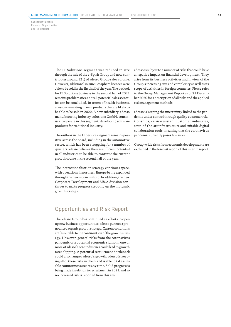Subsequent Events Forecast, Opportunities and Risk Report

> The IT Solutions segment was reduced in size through the sale of the e-Spirit Group and now contributes around 12% of adesso Group sales volume. However, additional in|sure Ecosphere licences were able to be sold in the first half of the year. The outlook for IT Solutions business in the second half of 2021 remains problematic as not all potential sales scenarios can be concluded. In terms of health business, adesso is investing in new products that are likely to be able to be sold in 2022. A new subsidiary, adesso manufacturing industry solutions GmbH, continues to operate in this segment, developing software products for traditional industry.

> The outlook in the IT Services segment remains positive across the board, including in the automotive sector, which has been struggling for a number of quarters. adesso believes there is sufficient potential in all industries to be able to continue the current growth course in the second half of the year.

> The internationalisation strategy continues apace, with operations in northern Europe being expanded through the new site in Finland. In addition, the new Corporate Development and M&A division continues to make progress stepping up the inorganic growth strategy.

### Opportunities and Risk Report

The adesso Group has continued its efforts to open up new business opportunities. adesso pursues a pronounced organic growth strategy. Current conditions are favourable to the continuation of the growth strategy. However, general risks from the coronavirus pandemic or a potential economic slump in one or more of adesso's core industries could lead to growth rates slipping. A potential recruitment bottleneck could also hamper adesso's growth. adesso is keeping all of these risks in check and is able to take suitable countermeasures at any time. Solid progress is being made in relation to recruitment in 2021, and so no increased risk is reported from this area.

adesso is subject to a number of risks that could have a negative impact on financial development. They arise from its business activities and in view of the Group's increasing size and complexity as well as its scope of activities in foreign countries. Please refer to the Group Management Report as of 31 December 2020 for a description of all risks and the applied risk management methods.

adesso is keeping the uncertainty linked to the pandemic under control through quality customer relationships, crisis-resistant customer industries, state-of-the-art infrastructure and suitable digital collaboration tools, meaning that the coronavirus pandemic currently poses few risks.

Group-wide risks from economic developments are explained in the forecast report of this interim report.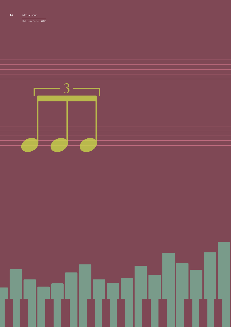Half-year Report 2021

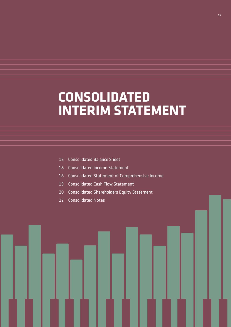# **CONSOLIDATED INTERIM STATEMENT**

- Consolidated Balance Sheet
- Consolidated Income Statement
- Consolidated Statement of Comprehensive Income
- Consolidated Cash Flow Statement
- Consolidated Shareholders Equity Statement
- Consolidated Notes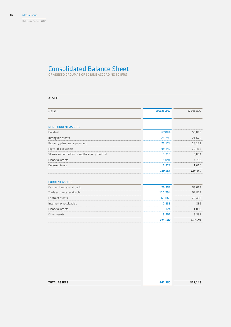# Consolidated Balance Sheet

OF ADESSO GROUP AS OF 30 JUNE ACCORDING TO IFRS

# ASSETS *in EUR k 30 June 2021 31 Dec 2020* NON-CURRENT ASSETS Goodwill 67,084 59,016 Intangible assets 28,290 21,625 Property, plant and equipment 23,124 23,124 18,131 Right-of-use assets 99,242 79,413 Shares accounted for using the equity method 3,215 3,864 Financial assets 8,091 4,796 Deferred taxes 1,822 1,610 *230,868 188,455* CURRENT ASSETS Cash on hand and at bank 29,352 55,053 Trade accounts receivable 110,294 92,829 Contract assets 60,069 28,485 Income tax receivables 2,836 892 Financial assets 124 1,095 Other assets 5,337 5,337 5,337 5,337 5,337 5,337 5,337 5,337 5,337 5,337 5,438 5,537 5,537 5,537 5,537 5,537 5,537 5,537 5,537 5,537 5,537 5,537 5,537 5,537 5,537 5,537 5,537 5,537 5,537 5,537 5,537 5,537 5,537 5,537 5,537 *211,882 183,691*

| <b>TOTAL ASSETS</b> | 442.750 | 372,146 |
|---------------------|---------|---------|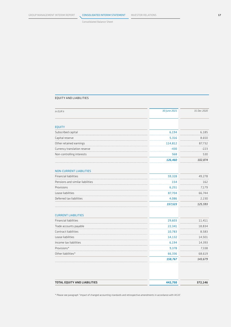Consolidated Balance Sheet

#### EQUITY AND LIABILITIES

| in EUR k                         | 30 June 2021 | 31 Dec 2020 |
|----------------------------------|--------------|-------------|
|                                  |              |             |
| <b>EQUITY</b>                    |              |             |
| Subscribed capital               | 6,194        | 6,185       |
| Capital reserve                  | 5,316        | 8,650       |
| Other retained earnings          | 114,812      | 87,732      |
| Currency translation reserve     | $-430$       | $-223$      |
| Non-controlling interests        | 568          | 530         |
|                                  | 126,460      | 102,874     |
| <b>NON-CURRENT LIABILITIES</b>   |              |             |
| <b>Financial liabilities</b>     | 59,328       | 49,278      |
| Pensions and similar liabilities | 154          | 162         |
| Provisions                       | 6,251        | 7,179       |
| Lease liabilities                | 87,704       | 66,744      |
| Deferred tax liabilities         | 4,086        | 2,230       |
|                                  | 157,523      | 125,593     |
| <b>CURRENT LIABILITIES</b>       |              |             |
| <b>Financial liabilities</b>     | 29,603       | 11,411      |
| Trade accounts payable           | 22,341       | 18,834      |
| Contract liabilities             | 10,783       | 8,583       |
| Lease liabilities                | 14,132       | 14,501      |
| Income tax liabilities           | 6,194        | 14,393      |
| Provisions*                      | 9,378        | 7,338       |
| Other liabilities*               | 66,336       | 68,619      |
|                                  | 158,767      | 143,679     |

| TOTAL EQUITY AND LIABILITIES | 442.750 | 372.146 |
|------------------------------|---------|---------|

\* Please see paragraph "Impact of changed accounting standards and retrospective amendments in accordance with IAS 8".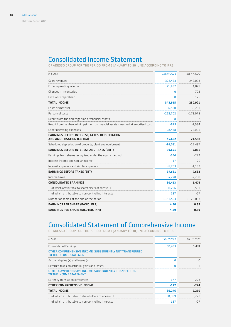# Consolidated Income Statement

OF ADESSO GROUP FOR THE PERIOD FROM 1 JANUARY TO 30 JUNE ACCORDING TO IFRS

| in EUR k                                                                            | 1st HY 2021 | 1st HY 2020 |
|-------------------------------------------------------------------------------------|-------------|-------------|
| Sales revenues                                                                      | 322,433     | 246,073     |
| Other operating income                                                              | 21,482      | 4,021       |
| Changes in inventories                                                              | 0           | 702         |
| Own work capitalised                                                                | 0           | 125         |
| <b>TOTAL INCOME</b>                                                                 | 343,915     | 250,921     |
| Costs of material                                                                   | $-36,500$   | $-30,291$   |
| Personnel costs                                                                     | $-222,702$  | $-171,075$  |
| Result from the derecognition of financial assets                                   | -8          | -2          |
| Result from the change in impairment on financial assets measured at amortised cost | $-615$      | $-1.994$    |
| Other operating expenses                                                            | $-28,438$   | $-26,001$   |
| EARNINGS BEFORE INTEREST, TAXES, DEPRECIATION<br>AND AMORTISATION (EBITDA)          | 55,652      | 21,558      |
| Scheduled depreciation of property, plant and equipment                             | $-16,031$   | $-12,497$   |
| <b>EARNINGS BEFORE INTEREST AND TAXES (EBIT)</b>                                    | 39,621      | 9,061       |
| Earnings from shares recognised under the equity method                             | $-694$      | $-222$      |
| Interest income and similar income                                                  | 17          | 25          |
| Interest expenses and similar expenses                                              | $-1,263$    | $-1,182$    |
| <b>EARNINGS BEFORE TAXES (EBT)</b>                                                  | 37,681      | 7,682       |
| Income taxes                                                                        | $-7,228$    | $-2,208$    |
| <b>CONSOLIDATED EARNINGS</b>                                                        | 30,453      | 5,474       |
| of which attributable to shareholders of adesso SE                                  | 30,296      | 5,501       |
| of which attributable to non-controlling interests                                  | 157         | $-27$       |
| Number of shares at the end of the period                                           | 6,193,593   | 6,176,093   |
| EARNINGS PER SHARE (BASIC, IN $\epsilon$ )                                          | 4.90        | 0.89        |
| EARNINGS PER SHARE (DILUTED, IN $\epsilon$ )                                        | 4.89        | 0.89        |

# Consolidated Statement of Comprehensive Income

OF ADESSO GROUP FOR THE PERIOD FROM 1 JANUARY TO 30 JUNE ACCORDING TO IFRS

| $in$ FUR $k$                                                                        | 1st HY 2021 | 1st HY 2020 |
|-------------------------------------------------------------------------------------|-------------|-------------|
| <b>Consolidated Earnings</b>                                                        | 30,453      | 5.474       |
| OTHER COMPREHENSIVE INCOME, SUBSEQUENTLY NOT TRANSFERRED<br>TO THE INCOME STATEMENT |             |             |
| Actuarial gains $(+)$ and losses $(-)$                                              | n           | $\Box$      |
| Deferred taxes on actuarial gains and losses                                        | n           | -1          |
| OTHER COMPREHENSIVE INCOME, SUBSEQUENTLY TRANSFERRED<br>TO THE INCOME STATEMENT     |             |             |
| Currency translation differences                                                    | $-177$      | $-223$      |
| OTHER COMPREHENSIVE INCOME                                                          | $-177$      | $-224$      |
| <b>TOTAL INCOME</b>                                                                 | 30,276      | 5,250       |
| of which attributable to shareholders of adesso SE                                  | 30.089      | 5.277       |
| of which attributable to non-controlling interests                                  | 187         | $-27$       |
|                                                                                     |             |             |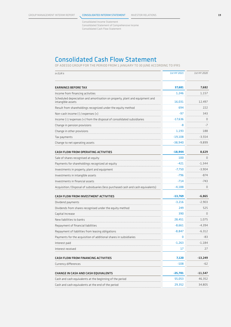Consolidated Income Statement Consolidated Statement of Comprehensive Income Consolidated Cash Flow Statement

# Consolidated Cash Flow Statement

OF ADESSO GROUP FOR THE PERIOD FROM 1 JANUARY TO 30 JUNE ACCORDING TO IFRS

| in EUR k                                                                                          | 1st HY 2021 | 1st HY 2020 |
|---------------------------------------------------------------------------------------------------|-------------|-------------|
| <b>EARNINGS BEFORE TAX</b>                                                                        | 37,681      | 7,682       |
| Income from financing activities                                                                  | 1,246       | 1,157       |
| Scheduled depreciation and amortisation on property, plant and equipment and<br>intangible assets | 16,031      | 12,497      |
| Result from shareholdings recognized under the equity method                                      | 694         | 222         |
| Non-cash income (-) / expenses (+)                                                                | $-97$       | 343         |
| Income (-) / expenses (+) from the disposal of consolidated subsidiaries                          | $-17,636$   | 0           |
| Change in pension provisions                                                                      | -8          | $-7$        |
| Change in other provisions                                                                        | 1,193       | 188         |
| Tax payments                                                                                      | $-19,108$   | $-3,554$    |
| Change to net operating assets                                                                    | $-38,940$   | -9,899      |
| CASH FLOW FROM OPERATING ACTIVITIES                                                               | $-18,944$   | 8,629       |
| Sale of shares recognised at-equity                                                               | 100         | $\Omega$    |
| Payments for shareholdings recognized at-equity                                                   | -421        | $-1,344$    |
| Investments in property, plant and equipment                                                      | $-7,750$    | $-3,904$    |
| Investments in intangible assets                                                                  | -796        | -874        |
| Investments in financial assets                                                                   | $-714$      | $-743$      |
| Acquisition / Disposal of subsiduaries (less purchased cash and cash equivalents)                 | $-4,188$    | 0           |
| <b>CASH FLOW FROM INVESTMENT ACTIVITIES</b>                                                       | $-13,769$   | $-6,865$    |
| Dividend payments                                                                                 | $-3,216$    | $-2,903$    |
| Dividends from shares recognised under the equity method                                          | 249         | 525         |
| Capital Increase                                                                                  | 390         | $\Omega$    |
| New liabilities to banks                                                                          | 28,451      | 1,075       |
| Repayment of financial liabilities                                                                | $-8,661$    | $-4,394$    |
| Repayment of liabilities from leasing obligations                                                 | $-8,847$    | $-6,312$    |
| Payments for the acquisition of additional shares in subsidiaries                                 | n           | -83         |
| Interest paid                                                                                     | $-1,263$    | -1,184      |
| Interest received                                                                                 | 17          | 27          |
| CASH FLOW FROM FINANCING ACTIVITIES                                                               | 7,120       | $-13,249$   |
| Currency differences                                                                              | $-108$      | -62         |
| CHANGE IN CASH AND CASH EQUIVALENTS                                                               | $-25,701$   | $-11,547$   |
| Cash and cash equivalents at the beginning of the period                                          | 55,053      | 46,352      |
| Cash and cash equivalents at the end of the period                                                | 29,352      | 34,805      |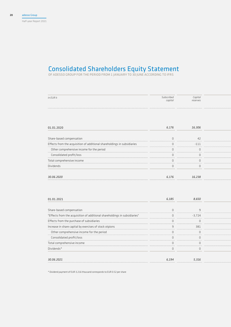# Consolidated Shareholders Equity Statement

OF ADESSO GROUP FOR THE PERIOD FROM 1 JANUARY TO 30 JUNE ACCORDING TO IFRS

| 01.01.2020                                                               | 6,176 | 16,306   |
|--------------------------------------------------------------------------|-------|----------|
| Share-based compensation                                                 |       | 42       |
| Effects from the acquisition of additional shareholdings in subsidiaries |       | $-111$   |
| Other comprehensive income for the period                                |       | $\Omega$ |
| Consolidated profit/loss                                                 |       | .<br>0   |
| Total comprehensive income                                               |       | $\Omega$ |
| Dividends                                                                |       | $\cup$   |
| 30.06.2020                                                               | 6,176 | 16,238   |

| 6,185 | 8,650    |  |
|-------|----------|--|
|       |          |  |
|       |          |  |
|       | $-3,724$ |  |
|       |          |  |
|       | 381      |  |
|       |          |  |
|       |          |  |
|       |          |  |
|       |          |  |
|       |          |  |
| 6,194 | 5,316    |  |
|       |          |  |

\* Dividend payment of EUR 3,216 thousand corresponds to EUR 0.52 per share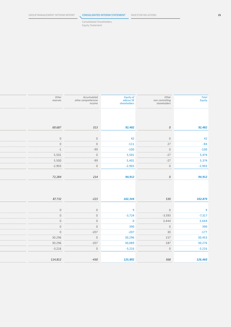Consolidated Shareholders Equity Statement

| Total<br>Equity | Other<br>non-controlling<br>shareholders | Equity of<br>adesso SE<br>shareholders | Accumulated<br>other comprehensive<br>income | Other<br>reserves |
|-----------------|------------------------------------------|----------------------------------------|----------------------------------------------|-------------------|
|                 |                                          |                                        |                                              |                   |
| 92,482          | $\bm{0}$                                 | 92,482                                 | 313                                          | 69,687            |
|                 |                                          |                                        |                                              |                   |
| 42              | $\overline{0}$                           | 42                                     | $\mathbb O$                                  | $\mathbb O$       |
| $-84$           | 27                                       | $\textcolor{red}{\textbf{-111}}$       | $\mathbb O$                                  | $\mathbb O$       |
| $-100$          | $\overline{0}$                           | $-100$                                 | -99                                          | $\textnormal{-}1$ |
| 5,474           | $-27$                                    | 5,501                                  | $\mathbb O$                                  | 5,501             |
| 5,374           | $-27$                                    | 5,401                                  | $-99$                                        | 5,500             |
| $-2,903$        | $\overline{0}$                           | $-2,903$                               | $\mathbb O$                                  | $-2,903$          |
|                 |                                          |                                        |                                              |                   |
| 94,912          | $\bm{\mathit{O}}$                        | 94,912                                 | 214                                          | 72,284            |
|                 |                                          |                                        |                                              |                   |
|                 |                                          |                                        |                                              |                   |
| 102,874         | 530                                      | 102,344                                | $-223$                                       | 87,732            |
| $\overline{9}$  | $\mathbb O$                              | -9                                     | $\mathbb O$                                  | $\mathbb O$       |
| $-7,317$        | $-3,593$                                 | $-3,724$                               | $\mathbb O$                                  | $\mathbb O$       |
| 3,444           | 3,444                                    | $\mathbf 0$                            | $\mathbb O$                                  | $\mathbb O$       |
| 390             | $\mathbb O$                              | 390                                    | $\mathbb O$                                  | $\mathbb O$       |
| $-177$          | 30 <sup>°</sup>                          | $-207$                                 | $-207$                                       | $\mathbb O$       |
| 30,453          | 157                                      | 30,296                                 | $\mathbb O$                                  | 30,296            |
| 30,276          | 187                                      | 30,089                                 | $-207$                                       | 30,296            |
| $-3,216$        | $\mathbb O$                              | $-3,216$                               | $\mathbb O$                                  | $-3,216$          |
| 126,460         | 568                                      | 125,892                                | $-430$                                       | 114,812           |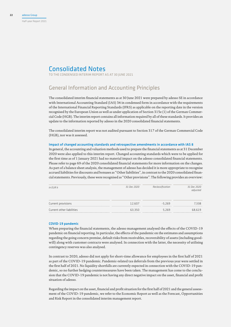# Consolidated Notes

TO THE CONDENSED INTERIM REPORT AS AT 30 JUNE 2021

### General Information and Accounting Principles

The consolidated interim financial statements as at 30 June 2021 were prepared by adesso SE in accordance with International Accounting Standard (IAS) 34 in condensed form in accordance with the requirements of the International Financial Reporting Standards (IFRS) as applicable on the reporting date in the version recognised by the European Union as well as under application of Section 315e (1) of the German Commercial Code (HGB). The interim report contains all information required by all of these standards. It provides an update to the information reported by adesso in the 2020 consolidated financial statements.

The consolidated interim report was not audited pursuant to Section 317 of the German Commercial Code (HGB), nor was it assessed.

#### Impact of changed accounting standards and retrospective amendments in accordance with IAS 8

In general, the accounting and valuation methods used to prepare the financial statements as at 31 December 2020 were also applied to this interim report. Changed accounting standards which were to be applied for the first time as of 1 January 2021 had no material impact on the adesso consolidated financial statements. Please refer to page 69 of the 2020 consolidated financial statements for more information on the changes. As part of a balance sheet analysis, the management of adesso has decided it is more appropriate to recognise accrued liabilities for discounts and bonuses as "Other liabilities", in contrast to the 2020 consolidated financial statements. Previously, these were recognised as "Other provisions". The following provides an overview:

| in EUR k                  | 31 Dec 2020 | Reclassification | 31 Dec 2020<br>adjusted |
|---------------------------|-------------|------------------|-------------------------|
| Current provisions        | 12.607      | $-5.269$         | 7.338                   |
| Current other liabilities | 63,350      | 5.269            | 68.619                  |

#### COVID-19 pandemic

When preparing the financial statements, the adesso management analysed the effects of the COVID-19 pandemic on financial reporting. In particular, the effects of the pandemic on the estimates and assumptions regarding the going concern premise, default risks from receivables, recoverability of assets (including goodwill) along with customer contracts were analysed. In connection with the latter, the necessity of utilising contingency reserves was also analysed.

In contrast to 2020, adesso did not apply for short-time allowance for employees in the first half of 2021 as part of the COVID-19 pandemic. Pandemic-related tax deferrals from the previous year were settled in the first half of 2021. No liquidity shortfalls are currently expected in connection with the COVID-19 pandemic, so no further hedging countermeasures have been taken. The management has come to the conclusion that the COVID-19 pandemic is not having any direct negative impact on the asset, financial and profit situation of adesso.

Regarding the impact on the asset, financial and profit situation for the first half of 2021 and the general assessment of the COVID-19 pandemic, we refer to the Economic Report as well as the Forecast, Opportunities and Risk Report in the consolidated interim management report.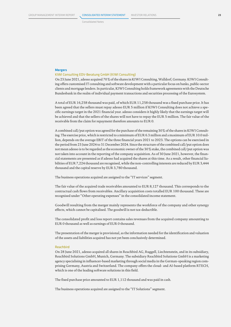Consolidated Notes

#### Mergers

#### KIWI Consulting EDV-Beratung GmbH (KIWI Consulting)

On 23 June 2021, adesso acquired 70% of the shares in KIWI Consulting, Walldorf, Germany. KIWI Consulting offers customised IT consulting and software development with a particular focus on banks, public-sector clients and mortgage lenders. In particular, KIWI Consulting holds framework agreements with the Deutsche Bundesbank in the realm of individual payment transactions and securities processing of the Eurosystem.

A total of EUR 16,258 thousand was paid, of which EUR 11,258 thousand was a fixed purchase price. It has been agreed that the sellers must repay adesso EUR 5 million if KIWI Consulting does not achieve a specific earnings target in the 2021 financial year. adesso considers it highly likely that the earnings target will be achieved and that the sellers of the shares will not have to repay the EUR 5 million. The fair value of the receivable from the claim for repayment therefore amounts to EUR 0.

A combined call/put option was agreed for the purchase of the remaining 30% of the shares in KIWI Consulting. The exercise price, which is restricted to a minimum of EUR 6.3 million and a maximum of EUR 10.0 million, depends on the average EBIT of the three financial years 2021 to 2023. The options can be exercised in the period from 23 June 2024 to 31 December 2024. Since the structure of the combined call/put option does not mean adesso is to be regarded as the economic owner of the 30% stake, the combined call/put option was not taken into account in the reporting of the company acquisition. As of 30 June 2021, however, the financial statements are presented as if adesso had acquired the shares at this time. As a result, other financial liabilities of EUR 7,224 thousand are recognised, while the non-controlling interests are reduced by EUR 3,444 thousand and the capital reserve by EUR 3,780 thousand.

The business operations acquired are assigned to the "IT services" segment.

The fair value of the acquired trade receivables amounted to EUR 8,127 thousand. This corresponds to the contractual cash flows from receivables. Ancillary acquisition costs totalled EUR 100 thousand. These are recognised under "Other operating expenses" in the consolidated income statement.

Goodwill resulting from the merger mainly represents the workforce of the company and other synergy effects, which cannot be capitalised. The goodwill is not tax-deductible.

The consolidated profit and loss report contains sales revenues from the acquired company amounting to EUR 0 thousand as well as earnings of EUR 0 thousand.

The presentation of the merger is provisional, as the information needed for the identification and valuation of the assets and liabilities acquired has not yet been conclusively determined.

#### Reachbird

On 28 June 2021, adesso acquired all shares in Reachbird AG, Ruggell, Liechtenstein, and in its subsidiary, Reachbird Solutions GmbH, Munich, Germany. The subsidiary Reachbird Solutions GmbH is a marketing agency specialising in influencer-based marketing through social media in the German-speaking region comprising Germany, Austria and Switzerland. The company offers the cloud- and AI-based platform RTECH, which is one of the leading software solutions in this field.

The fixed purchase price amounted to EUR 1,112 thousand and was paid in cash.

The business operations acquired are assigned to the "IT Solutions" segment.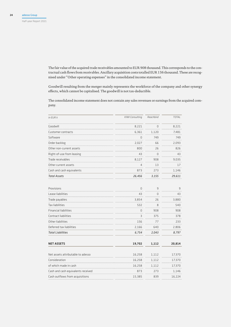The fair value of the acquired trade receivables amounted to EUR 908 thousand. This corresponds to the contractual cash flows from receivables. Ancillary acquisition costs totalled EUR 136 thousand. These are recognised under "Other operating expenses" in the consolidated income statement.

Goodwill resulting from the merger mainly represents the workforce of the company and other synergy effects, which cannot be capitalised. The goodwill is not tax-deductible.

The consolidated income statement does not contain any sales revenues or earnings from the acquired company.

| in EUR k                           | <b>KIWI Consulting</b> | Reachbird | TOTAL  |
|------------------------------------|------------------------|-----------|--------|
| Goodwill                           | 8,221                  | $\Omega$  | 8,221  |
| Customer contracts                 | 6,361                  | 1,120     | 7,481  |
| Software                           | 0                      | 749       | 749    |
| Order backlog                      | 2,027                  | 66        | 2,093  |
| Other non-current assets           | 800                    | 26        | 826    |
| Right-of-use from leasing          | 43                     | 0         | 43     |
| Trade receivables                  | 8,127                  | 908       | 9,035  |
| Other current assets               | 4                      | 13        | 17     |
| Cash and cash equivalents          | 873                    | 273       | 1,146  |
| <b>Total Assets</b>                | 26,456                 | 3,155     | 29,611 |
|                                    |                        |           |        |
| Provisions                         | 0                      | 9         | 9      |
| Lease liabilities                  | 43                     | 0         | 43     |
| Trade payables                     | 3.854                  | 26        | 3,880  |
| <b>Tax liabilities</b>             | 532                    | 8         | 540    |
| <b>Financial liabilities</b>       | 0                      | 908       | 908    |
| Contract liabilities               | З                      | 375       | 378    |
| Other liabilities                  | 156                    | 77        | 233    |
| Deferred tax liabilities           | 2,166                  | 640       | 2,806  |
| <b>Total Liabilities</b>           | 6,754                  | 2,043     | 8,797  |
| <b>NET ASSETS</b>                  | 19,702                 | 1,112     | 20,814 |
| Net assets attributable to adesso  | 16,258                 | 1,112     | 17,370 |
| Consideration                      | 16,258                 | 1,112     | 17,370 |
| of which made in cash              | 16,258                 | 1,112     | 17,370 |
| Cash and cash equivalents received | 873                    | 273       | 1,146  |
| Cash outflows from acquisitions    | 15,385                 | 839       | 16,224 |
|                                    |                        |           |        |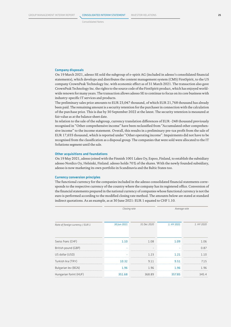Consolidated Notes

#### Company disposals

On 19 March 2021, adesso SE sold the subgroup of e-spirit AG (included in adesso's consolidated financial statements), which develops and distributes the content management system (CMS) FirstSpirit, to the US company CrownPeak Technology Inc. with economic effect as of 31 March 2021. The transaction also gave CrownPeak Technology Inc. the rights to the source code of the FirstSpirit product, which has enjoyed worldwide renown for many years. The transaction allows adesso SE to continue to focus on its core business with industry-specific IT services and products.

The preliminary sales price amounts to EUR 23,047 thousand, of which EUR 21,768 thousand has already been paid. The remaining amount is a security retention for the purchaser in connection with the calculation of the purchase price. This is due by 30 September 2022 at the latest. The security retention is measured at fair value as at the balance sheet date.

In relation to the sale of the subgroup, currency translation differences of EUR -248 thousand previously recognised in "Other comprehensive income" have been reclassified from "Accumulated other comprehensive income" to the income statement. Overall, this results in a preliminary pre-tax profit from the sale of EUR 17,655 thousand, which is reported under "Other operating income". Impairments did not have to be recognised from the classification as a disposal group. The companies that were sold were allocated to the IT Solutions segment until the sale.

#### Other acquisitions and foundations

On 19 May 2021, adesso joined with the Finnish 1001 Lakes Oy, Espoo, Finland, to establish the subsidiary adesso Nordics Oy, Helsinki, Finland. adesso holds 70% of the shares. With the newly founded subsidiary, adesso is now marketing its own portfolio in Scandinavia and the Baltic States too.

#### Currency conversion principles

The functional currency for the companies included in the adesso consolidated financial statements corresponds to the respective currency of the country where the company has its registered office. Conversion of the financial statements prepared in the national currency of companies whose functional currency is not the euro is performed according to the modified closing rate method. The amounts below are stated at standard indirect quotations. As an example, as at 30 June 2021: EUR 1 equated to CHF 1.10.

|                                  | Closing rate |             | Average rate |            |
|----------------------------------|--------------|-------------|--------------|------------|
| Rate of foreign currency / EUR 1 | 30 Jun 2021  | 31 Dec 2020 | 1. HY 2021   | 1. HY 2020 |
|                                  |              |             |              |            |
| Swiss franc (CHF)                | 1.10         | 1.08        | 1.09         | 1.06       |
| British pound (GBP)              |              |             |              | 0.87       |
| US dollar (USD)                  |              | 1.23        | 1.21         | 1.10       |
| Turkish lira (TRY)               | 10.32        | 9.11        | 9.51         | 7.15       |
| Bulgarian lev (BGN)              | 1.96         | 1.96        | 1.96         | 1.96       |
| Hungarian forint (HUF)           | 351.68       | 368.89      | 357.85       | 345.4      |
|                                  |              |             |              |            |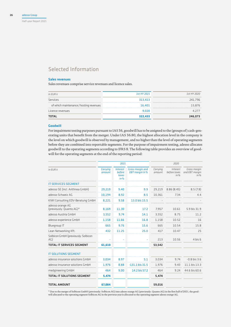# Selected Information

#### Sales revenues

Sales revenues comprise service revenues and licence sales.

| in EUR k                                | 1st HY 2021 | 1st HY 2020 |
|-----------------------------------------|-------------|-------------|
| Services                                | 313.413     | 241.796     |
| of which maintenance / hosting revenues | 16,401      | 15.876      |
| Licence revenues                        | 9.020       | 4.277       |
| TOTAL                                   | 322,433     | 246,073     |

#### Goodwill

For impairment testing purposes pursuant to IAS 36, goodwill has to be assigned to the (groups of ) cash-generating units that benefit from the merger. Under IAS 36.80, the highest allocation level in the company is the level on which goodwill is observed by management, and no higher than the level of operating segments before they are combined into reportable segments. For the purpose of impairment testing, adesso allocates goodwill to the operating segments according to IFRS 8. The following table provides an overview of goodwill for the operating segments at the end of the reporting period:

|                                              |                           | 2021                                       |                                                   |                    | 2020                             |                                           |
|----------------------------------------------|---------------------------|--------------------------------------------|---------------------------------------------------|--------------------|----------------------------------|-------------------------------------------|
| in EUR k                                     | <b>Carrying</b><br>amount | <b>Interest</b><br>before<br>taxes<br>in % | <b>Gross margin and</b><br><b>EBT</b> margin in % | Carrying<br>amount | Interest<br>before taxes<br>in % | Gross margin<br>and EBT margin<br>$in \%$ |
| <b>IT SERVICES SEGMENT</b>                   |                           |                                            |                                                   |                    |                                  |                                           |
| adesso SE (incl. Arithnea GmbH)              | 29,219                    | 9.40                                       | 9.9                                               | 29,219             | 8.86(8.45)                       | 8.5(7.8)                                  |
| adesso Schweiz AG                            | 10,194                    | 8.92                                       | 8.5                                               | 10,361             | 7.34                             | 4.4                                       |
| KIWI Consulting EDV-Beratung GmbH            | 8,221                     | 9.58                                       | 13.0 bis 15.5                                     |                    |                                  |                                           |
| adesso orange AG<br>(previously: Quanto AG)* | 8,169                     | 11.30                                      | 17.2                                              | 7.957              | 10.61                            | 5.9 bis 31.9                              |
| adesso Austria GmbH                          | 3,552                     | 9.74                                       | 14.1                                              | 3,552              | 8.75                             | 11.2                                      |
| adesso experience GmbH                       | 1,158                     | 11.66                                      | 16.8                                              | 1,158              | 10.52                            | 16                                        |
| Bluegroup IT                                 | 665                       | 9.76                                       | 15.6                                              | 665                | 10.54                            | 15.8                                      |
| Lean Networking Kft.                         | 432                       | 11.25                                      | 25.0                                              | 417                | 10.47                            | 25                                        |
| Solbicon GmbH (previously: Solbicon<br>AG)   |                           |                                            |                                                   | 213                | 10.56                            | 4 bis 6                                   |
| <b>TOTAL IT SERVICES SEGMENT</b>             | 61,610                    |                                            |                                                   | 53,542             |                                  |                                           |
| <b>IT SOLUTIONS SEGMENT</b>                  |                           |                                            |                                                   |                    |                                  |                                           |
| adesso insurance solutions GmbH              | 3.034                     | 8.97                                       | 5.1                                               | 3,034              | 9.74                             | $-0.8$ bis $3.6$                          |
| adesso insurance solutions GmbH              | 1,976                     | 8.88                                       | $-131.1$ bis $31.5$                               | 1,976              | 9.43                             | 11.1 bis 13.3                             |
| medgineering GmbH                            | 464                       | 9.00                                       | 14.2 bis 57.2                                     | 464                | 9.24                             | 44.6 bis 60.6                             |
| <b>TOTAL IT SOLUTIONS SEGMENT</b>            | 5,474                     |                                            |                                                   | 5,474              |                                  |                                           |
| <b>TOTAL AMOUNT</b>                          | 67,084                    |                                            |                                                   | 59,016             |                                  |                                           |

\* Due to the merger of Solbicon GmbH (previously: Solbicon AG) into adesso orange AG (previously: Quanto AG) in the first half of 2021, the goodwill allocated to the operating segment Solbicon AG in the previous year is allocated to the operating segment adesso orange AG.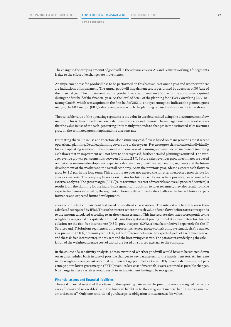Consolidated Notes

The change in the carrying amount of goodwill in the adesso Schweiz AG and LeanNetworking Kft. segments is due to the effect of exchange rate movements.

An impairment test for goodwill has to be performed on this basis at least once a year and whenever there are indications of impairment. The annual goodwill impairment test is performed by adesso as at 30 June of the financial year. The impairment test for goodwill was performed on 30 June for the companies acquired during the first half of the financial year. As the level of detail of the planning for KIWI Consulting EDV-Beratung GmbH, which was acquired in the first half of 2021, is not yet enough to indicate the planned gross margin, the EBT margin (EBT/sales revenues) on which the planning is based is shown in the table above.

The realisable value of the operating segments is the value in use determined using the discounted cash flow method. This is determined based on cash flows after taxes and interest. The management of adesso believes that the value in use of the cash-generating units mainly responds to changes in the estimated sales revenues growth, the estimated gross margin and the discount rate.

Estimating the value in use and therefore also estimating cash flow is based on management's most recent operational planning. Detailed planning covers one to three years. Revenue growth is calculated individually for each operating segment. If it is apparent with one year of planning and an expected increase of incoming cash flows that an impairment will not have to be recognised, further detailed planning is omitted. The average revenue growth per segment is between 0% and 25%. Future sales revenues growth estimates are based on past sales revenues development, expected sales revenues growth in the operating segments and the future development of the market and the overall economy. As in the previous year, adesso expects cash flows to grow by 1% p.a. in the long term. This growth rate does not exceed the long-term expected growth rate for adesso's markets. The company bases its estimates for future cash flows, where possible, on estimates by external analysts. The gross margin (EBT/(sales revenues less cost of materials (above all procured services))) results from the planning for the individual segments. In addition to sales revenues, they also result from the expected expenses incurred by the segments. These are determined individually on the basis of historical performance and expected future developments.

adesso conducts its impairment test based on an after-tax assessment. The interest rate before taxes is then calculated as required by IFRS. This is the interest where the cash value of cash flows before taxes corresponds to the amount calculated according to an after-tax assessment. This interest rate after taxes corresponds to the weighted average cost of capital determined using the capital asset pricing model. Key parameters for this calculation are the risk-free interest rate (0.3%, previous year: 0.0%), a beta factor derived separately for the IT Services and IT Solutions segments from a representative peer group (constituting systematic risk), a market risk premium (7.0%, previous year: 7.0%; as the difference between the expected yield of a reference market and the risk-free interest rate), the tax rate and the borrowing cost rate. The parameters underlying the calculation of the weighted average cost of capital are based on sources external to the company.

In the course of a sensitivity analysis, adesso examined whether goodwill would have to be written down on an unscheduled basis in case of possible changes to key parameters for the impairment test. An increase in the weighted average cost of capital by 1 percentage point before taxes, 10% lower cash flows and a 1 percentage point lower gross margin (EBT/(revenues less cost of materials)) were assumed as possible changes. No change in these variables would result in an impairment having to be recognised.

#### Financial assets and financial liabilities

The total financial assets held by adesso on the reporting date and in the previous year are assigned to the category "Loans and receivables", and the financial liabilities to the category "Financial liabilities measured at amortised cost". Only one conditional purchase price obligation is measured at fair value.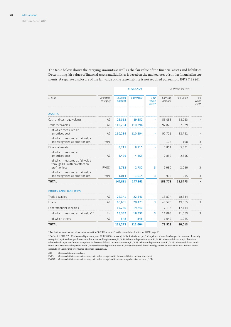The table below shows the carrying amounts as well as the fair value of the financial assets and liabilities. Determining fair values of financial assets and liabilities is based on the market rates of similar financial instruments. A separate disclosure of the fair value of the lease liability is not required pursuant to IFRS 7.29 (d).

|                                                                                    |                       | 30 June 2021              |                   |                                  | 31 December 2020   |            |                           |
|------------------------------------------------------------------------------------|-----------------------|---------------------------|-------------------|----------------------------------|--------------------|------------|---------------------------|
| in EUR k                                                                           | Valuation<br>category | <b>Carrying</b><br>amount | <b>Fair Value</b> | Fair<br><b>Value</b><br>$level*$ | Carrying<br>amount | Fair Value | Fair<br>Value<br>$level*$ |
| <b>ASSETS</b>                                                                      |                       |                           |                   |                                  |                    |            |                           |
| Cash and cash equivalents                                                          | AC                    | 29,352                    | 29,352            |                                  | 55,053             | 55,053     |                           |
| Trade receivables                                                                  | AC                    | 110,294                   | 110,294           |                                  | 92,829             | 92,829     |                           |
| of which measured at<br>amortised cost                                             | AC                    | 110,294                   | 110,294           |                                  | 92,721             | 92,721     |                           |
| of which measured at fair value<br>and recognised as profit or loss                | <b>FVPL</b>           |                           |                   |                                  | 108                | 108        | 3                         |
| <b>Financial assets</b>                                                            |                       | 8,215                     | 8,215             |                                  | 5,891              | 5,891      |                           |
| of which measured at<br>amortised cost                                             | AC                    | 4,469                     | 4,469             |                                  | 2,896              | 2,896      |                           |
| of which measured at fair value<br>through OCI with no effect on<br>profit or loss | <b>FVOCI</b>          | 2,732                     | 2,732             | з                                | 2,080              | 2,080      | 3                         |
| of which measured at fair value<br>and recognised as profit or loss                | <b>FVPL</b>           | 1,014                     | 1,014             | з                                | 915                | 915        | З                         |
| <b>TOTAL</b>                                                                       |                       | 147,861                   | 147,861           |                                  | 153,773            | 15,3773    |                           |
| <b>EQUITY AND LIABILITIES</b>                                                      |                       |                           |                   |                                  |                    |            |                           |
| Trade payables                                                                     | AC                    | 22,341                    | 22,341            |                                  | 18.834             | 18.834     |                           |
| Loans                                                                              | AC                    | 69,691                    | 70,423            | з                                | 48,575             | 49,065     | 3                         |
| Other financial liabilities                                                        |                       | 19,240                    | 19,240            |                                  | 12,114             | 12,114     |                           |
| of which measured at fair value**                                                  | <b>FV</b>             | 18,392                    | 18,392            | з                                | 11,069             | 11,069     | З                         |
| of which others                                                                    | AC                    | 848                       | 848               |                                  | 1,045              | 1,045      |                           |
| <b>TOTAL</b>                                                                       |                       | 111,272                   | 112,004           |                                  | 79,523             | 80,013     |                           |

\* For further information please refer to section "6.19 Fair values" in the consolidated notes for 2020, page 91.

\*\* of which EUR 17,123 thousand (previous year: EUR 9,806 thousand) in liabilities from put/call options, where the changes in value are ultimately recognised against the capital reserve and non-controlling interests, EUR 518 thousand (previous year: EUR 512 thousand) from put/call options where the changes in value are recognised in the consolidated income statement, EUR 292 thousand (previous year: EUR 292 thousand) from conditional purchase price obligations and EUR 459 thousand (previous year: EUR 459 thousand) from an obligation to be accrued in instalments, which depends on the future performance of certain individuals.

AC: Measured at amortised cost

FVPL: Measured at fair value with changes in value recognised in the consolidated income statement

FVOCI: Measured at fair value with changes in value recognised in other comprehensive income (OCI).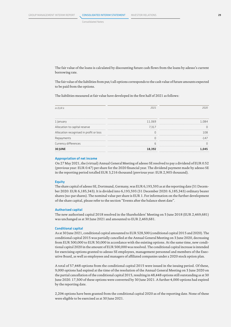Consolidated Notes

The fair value of the loans is calculated by discounting future cash flows from the loans by adesso's current borrowing rate.

The fair value of the liabilities from put/call options corresponds to the cash value of future amounts expected to be paid from the options.

The liabilities measured at fair value have developed in the first half of 2021 as follows:

| $in$ FUR $k$                            | 2021   | 2020  |
|-----------------------------------------|--------|-------|
| 1 January                               | 11.069 | በጸ4   |
| Allocation to capital reserve           | 7.317  |       |
| Allocation recognised in profit or loss |        |       |
| Repayments                              |        |       |
| Currency differences                    | h      |       |
| <b>30 JUNE</b>                          | 18.392 | 1 N45 |

#### Appropriation of net income

On 27 May 2021, the (virtual) Annual General Meeting of adesso SE resolved to pay a dividend of EUR 0.52 (previous year: EUR 0.47) per share for the 2020 financial year. The dividend payment made by adesso SE in the reporting period totalled EUR 3,216 thousand (previous year: EUR 2,903 thousand).

#### **Equity**

The share capital of adesso SE, Dortmund, Germany, was EUR 6,193,593 as at the reporting date (31 December 2020: EUR 6,185,343). It is divided into 6,193,593 (31 December 2020: 6,185,343) ordinary bearer shares (no-par shares). The nominal value per share is EUR 1. For information on the further development of the share capital, please refer to the section "Events after the balance sheet date".

#### Authorised capital

The new authorised capital 2018 resolved in the Shareholders' Meeting on 5 June 2018 (EUR 2,469,681) was unchanged as at 30 June 2021 and amounted to EUR 2,469,681.

#### Conditional capital

As at 30 June 2021, conditional capital amounted to EUR 528,500 (conditional capital 2015 and 2020). The conditional capital 2015 was partially cancelled at the Annual General Meeting on 3 June 2020, decreasing from EUR 500,000 to EUR 50,000 in accordance with the existing options. At the same time, new conditional capital 2020 in the amount of EUR 500,000 was resolved. The conditional capital increase is intended for exercising options granted to adesso SE employees, management personnel and members of the Executive Board, as well as employees and managers of affiliated companies under a 2020 stock option plan.

A total of 57,448 options from the conditional capital 2015 were issued in the issuing period. Of these, 9,000 options had expired at the time of the resolution of the Annual General Meeting on 3 June 2020 on the partial cancellation of the conditional capital 2015, resulting in 48,448 options still outstanding as at 30 June 2020. 17,500 of these options were converted by 30 June 2021. A further 4,000 options had expired by the reporting date.

2,204 options have been granted from the conditional capital 2020 as of the reporting date. None of these were eligible to be exercised as at 30 June 2021.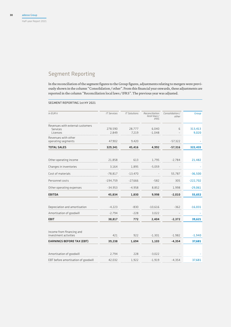# Segment Reporting

In the reconciliation of the segment figures to the Group figures, adjustments relating to mergers were previously shown in the column "Consolidation/other". From this financial year onwards, these adjustments are reported in the column "Reconciliation local laws/IFRS". The previous year was adjusted.

SEGMENT REPORTING 1st HY 2021

| in EUR k                                                 | <b>IT Services</b> | <b>IT Solutions</b> | Reconciliation<br>local laws /<br><b>IFRS</b> | Consolidation /<br>other | <b>Group</b>     |
|----------------------------------------------------------|--------------------|---------------------|-----------------------------------------------|--------------------------|------------------|
| Revenues with external customers<br>Services<br>Licences | 278,590<br>2,849   | 28,777<br>7,219     | 6,040<br>$-1,048$                             | 6                        | 313,413<br>9,020 |
| Revenues with other<br>operating segments                | 47,902             | 9,420               |                                               | $-57,322$                |                  |
| <b>TOTAL SALES</b>                                       | 329,341            | 45,416              | 4,992                                         | $-57,316$                | 322,433          |
| Other operating income                                   | 21,858             | 613                 | 1,795                                         | $-2,784$                 | 21,482           |
| Changes in inventories                                   | 3,164              | 1,895               | $-5,059$                                      |                          |                  |
| Cost of materials                                        | $-78,817$          | $-13,470$           |                                               | 55,787                   | $-36,500$        |
| Personnel costs                                          | $-194,759$         | $-27,666$           | $-582$                                        | 305                      | $-222,702$       |
| Other operating expenses                                 | $-34,953$          | $-4,958$            | 8,852                                         | 1,998                    | $-29,061$        |
| <b>EBITDA</b>                                            | 45,834             | 1,830               | 9,998                                         | $-2,010$                 | 55,652           |
| Depreciation and amortisation                            | $-4,223$           | $-830$              | $-10,616$                                     | $-362$                   | $-16,031$        |
| Amortisation of goodwill                                 | $-2,794$           | $-228$              | 3,022                                         |                          |                  |
| <b>EBIT</b>                                              | 38,817             | 772                 | 2,404                                         | $-2,372$                 | 39,621           |
| Income from financing and<br>investment activities       | 421                | 922                 | $-1,301$                                      | $-1,982$                 | $-1,940$         |
| <b>EARNINGS BEFORE TAX (EBT)</b>                         | 39,238             | 1,694               | 1,103                                         | $-4,354$                 | 37,681           |
| Amortisation of goodwill                                 | 2,794              | 228                 | $-3,022$                                      |                          |                  |
| EBT before amortisation of goodwill                      | 42,032             | 1,922               | $-1,919$                                      | $-4,354$                 | 37,681           |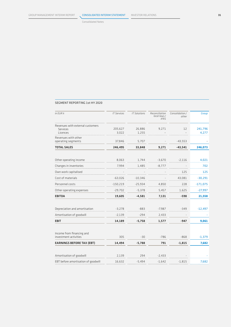Consolidated Notes

#### SEGMENT REPORTING 1st HY 2020

| in EUR k                                                 | <b>IT Services</b> | <b>IT Solutions</b> | Reconciliation<br>local laws /<br><b>IFRS</b> | Consolidation /<br>other | <b>Group</b>     |
|----------------------------------------------------------|--------------------|---------------------|-----------------------------------------------|--------------------------|------------------|
| Revenues with external customers<br>Services<br>Licences | 205,627<br>3,022   | 26,886<br>1,255     | 9,271                                         | 12                       | 241,796<br>4,277 |
| Revenues with other<br>operating segments                | 37,846             | 5,707               |                                               | $-43,553$                |                  |
| <b>TOTAL SALES</b>                                       | 246,495            | 33,848              | 9,271                                         | $-43,541$                | 246,073          |
| Other operating income                                   | 8,063              | 1,744               | $-3,670$                                      | $-2,116$                 | 4,021            |
| Changes in inventories                                   | 7,994              | 1,485               | $-8,777$                                      |                          | 702              |
| Own work capitalised                                     |                    |                     |                                               | 125                      | 125              |
| Cost of materials                                        | $-63,026$          | $-10,346$           |                                               | 43,081                   | $-30,291$        |
| Personnel costs                                          | $-150,219$         | $-25,934$           | 4,850                                         | 228                      | $-171,075$       |
| Other operating expenses                                 | $-29,702$          | $-5,378$            | 5,457                                         | 1,625                    | $-27,997$        |
| <b>EBITDA</b>                                            | 19,605             | $-4,581$            | 7,131                                         | $-598$                   | 21,558           |
| Depreciation and amortisation                            | $-3,278$           | $-883$              | $-7,987$                                      | $-349$                   | $-12,497$        |
| Amortisation of goodwill                                 | $-2,139$           | $-294$              | 2,433                                         |                          |                  |
| <b>EBIT</b>                                              | 14,189             | $-5,758$            | 1,577                                         | $-947$                   | 9,061            |
| Income from financing and<br>investment activities       | 305                | $-30$               | $-786$                                        | $-868$                   | $-1,379$         |
| <b>EARNINGS BEFORE TAX (EBT)</b>                         | 14,494             | $-5,788$            | 791                                           | $-1,815$                 | 7,682            |
| Amortisation of goodwill                                 | 2,139              | 294                 | $-2,433$                                      |                          |                  |
| EBT before amortisation of goodwill                      | 16,632             | $-5,494$            | $-1,642$                                      | $-1,815$                 | 7,682            |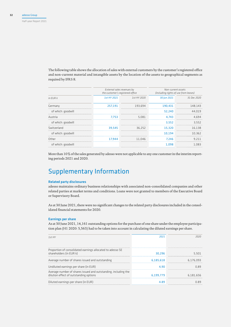The following table shows the allocation of sales with external customers by the customer's registered office and non-current material and intangible assets by the location of the assets to geographical segments as required by IFRS 8.

|                    | External sales revenues by<br>the customer's registered office |             | Non-current assets<br>(including rights of use from leases) |             |
|--------------------|----------------------------------------------------------------|-------------|-------------------------------------------------------------|-------------|
| $in$ FUR $k$       | 1st HY 2021                                                    | 1st HY 2020 |                                                             | 31 Dec 2020 |
| Germany            | 257.191                                                        | 193.694     | 190.431                                                     | 148.143     |
| of which: goodwill |                                                                |             | 52.240                                                      | 44.019      |
| Austria            | 7.753                                                          | 5.081       | 4.743                                                       | 4.694       |
| of which: goodwill |                                                                |             | 3.552                                                       | 3.552       |
| Switzerland        | 39.545                                                         | 36.252      | 15,320                                                      | 16.138      |
| of which: goodwill |                                                                |             | 10.194                                                      | 10.362      |
| Other              | 17.944                                                         | 11.046      | 7.246                                                       | 9 2 1 1     |
| of which: goodwill |                                                                |             | 1.098                                                       | 1.083       |

More than 10% of the sales generated by adesso were not applicable to any one customer in the interim reporting periods 2021 and 2020.

# Supplementary Information

#### Related party disclosures

adesso maintains ordinary business relationships with associated non-consolidated companies and other related parties at market terms and conditions. Loans were not granted to members of the Executive Board or Supervisory Board.

As at 30 June 2021, there were no significant changes to the related party disclosures included in the consolidated financial statements for 2020.

#### Earnings per share

As at 30 June 2021, 14,161 outstanding options for the purchase of one share under the employee participation plan (H1 2020: 5,563) had to be taken into account in calculating the diluted earnings per share.

| 1stHY                                                                                                    | 2021      | วกวก      |
|----------------------------------------------------------------------------------------------------------|-----------|-----------|
|                                                                                                          |           |           |
| Proportion of consolidated earnings allocated to adesso SE<br>shareholders (in EUR k)                    | 30.296    | 5.501     |
| Average number of shares issued and outstanding                                                          | 6.185.618 | 6.176.093 |
| Undiluted earnings per share (in EUR)                                                                    | 4.90      | 0.89      |
| Average number of shares issued and outstanding, including the<br>dilution effect of outstanding options | 6.199.779 | 6.181.656 |
| Diluted earnings per share (in EUR)                                                                      | 489       | በ ጸዓ      |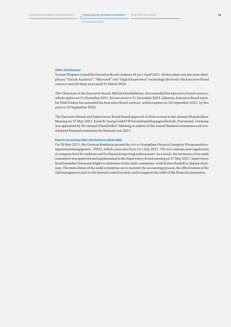Consolidated Notes

#### Other disclosures

Torsten Wegener joined the Executive Board of adesso SE on 1 April 2021. He has taken over the cross-disciplinary "Data & Analytics", "Microsoft" and "Digital Experience" technology divisions. His Executive Board contract runs for three years until 31 March 2024.

The Chairman of the Executive Board, Michael Kenfenheuer, has extended his Executive Board contract, which expires on 31 December 2021, by two years to 31 December 2023. Likewise, Executive Board member Dirk Pothen has extended his Executive Board contract, which expires on 30 September 2021, by five years to 30 September 2026.

The Executive Board and Supervisory Board found approval of their actions at the Annual Shareholders' Meeting on 27 May 2021. Ernst & Young GmbH Wirtschaftsprüfungsgesellschaft, Dortmund, Germany was appointed by the Annual Shareholders' Meeting as auditor of the annual financial statements and consolidated financial statements for financial year 2021.

#### Events occurring after the balance sheet date

On 28 May 2021, the German Bundesrat passed the Act to Strengthen Financial Integrity (Finanzmarktintegritätsstärkungsgesetz – FISG), which came into force on 1 July 2021. The Act contains new regulations at company level for auditors and for financial reporting enforcement. As a result, the formation of an audit committee was approved and implemented at the Supervisory Board meeting on 27 May 2021. Supervisory Board member Hermann Kögler is chairman of the audit committee, with Rainer Rudolf as deputy chairman. The main duties of the audit committee are to monitor the accounting process, the effectiveness of the risk management and/or the internal control system, and to support the audit of the financial statements.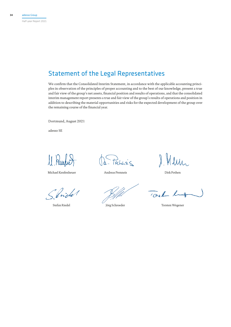# Statement of the Legal Representatives

We confirm that the Consolidated Interim Statement, in accordance with the applicable accounting principles in observation of the principles of proper accounting and to the best of our knowledge, present a true and fair view of the group's net assets, financial position and results of operations, and that the consolidated interim management report presents a true and fair view of the group's results of operations and position in addition to describing the material opportunities and risks for the expected development of the group over the remaining course of the financial year.

Dortmund, August 2021

adesso SE

Michael Kenfenheuer

Fichis's

Andreas Prenneis

 $J_{\mathcal{M}_{\Lambda_{\alpha}}}$ 

Dirk Pothen

Slidel

Stefan Riedel

Jörg Schroeder

Took &

Torsten Wegener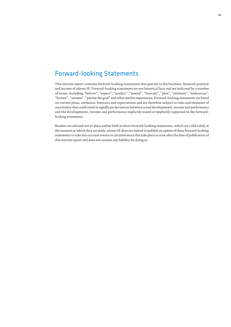# Forward-looking Statements

This interim report contains forward-looking statements that pertain to the business, financial position and income of adesso SE. Forward-looking statements are not historical facts and are indicated by a number of terms, including "believe", "expect", "predict", "intend", "forecast", "plan", "estimate", "endeavour", "foresee", "assume", "pursue the goal" and other similar expressions. Forward-looking statements are based on current plans, estimates, forecasts and expectations and are therefore subject to risks and elements of uncertainty that could result in significant deviations between actual developments, income and performance and the developments, income and performance explicitly stated or implicitly supposed in the forwardlooking statements.

Readers are advised not to place undue faith in these forward-looking statements, which are valid solely at the moment at which they are made. adesso SE does not intend to publish an update of these forward-looking statements to take into account events or circumstances that take place or arise after the date of publication of this interim report and does not assume any liability for doing so.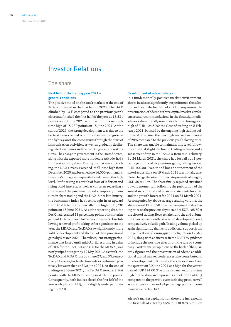# Investor Relations

### The share

#### First half of the trading year 2021 – general conditions

The positive mood on the stock markets at the end of 2020 continued in the first half of 2021. The DAX climbed by 13 % compared to the previous year's close and finished the first half of the year at 15,531 points on 30 June 2021 – not far from its new alltime high of 15,730 points on 15 June 2021. At the start of 2021, the strong development was due to the better-than-expected economic data and progress in the fight against the coronavirus through the start of immunisation activities, as well as gradually declining infection figures and the resulting easing of restrictions. The change in government in the United States, along with the expected more moderate attitude, had a further stabilising effect. During the first week of trading, the DAX already exceeded its all-time high from December 2020 and breached the 14,000-point mark. Investors' courage subsequently failed them at this high level. Profit-taking as a result of fears of inflation and rising bond interest, as well as concerns regarding a third wave of the pandemic, caused a temporary downturn in share trading and the DAX. Since late January, the benchmark index has been caught in an upward trend that lifted it to a new all-time high of 15,730 points on 15 June 2021. As at the reporting date, the DAX had retained 13 percentage points of its interim gains of 15% compared to the previous year's close following renewed profit-taking. After a good start to the year, the MDAX and TecDAX saw significantly more volatile development and shed all of their provisional gains by 5 March 2021. The subsequent strong performance that lasted until mid-April, resulting in gains of 10% for the TecDAX and 8% for the MDAX, was nearly wiped out again by 12 May 2021. As a result, the TecDAX and MDAX rose by a mere 2% and 3% respectively. However, both selection indices performed positively between then and 30 June 2021. At the end of trading on 30 June 2021, the TecDAX stood at 3,564 points, with the MDAX coming in at 34,050 points. Consequently, both indices closed the first half of the year with gains of 11%, only slightly underperforming the DAX.

#### Development of adesso shares

In a fundamentally positive market environment, shares in adesso significantly outperformed the selection indices in the first half of 2021. In response to the presentation of adesso at three capital market conferences and recommendations in the financial media, adesso's share initially rose to its all-time closing price high of EUR 124.50 at the close of trading on 8 February 2021, boosted by the ongoing high trading volumes. At the time, the new high marked an increase of 28% compared to the previous year's closing price. The share was unable to maintain this level following an initial slight decline in trading volume and a subsequent drop in the TecDAX from mid-February. By 24 March 2021, the share had lost all but 3 percentage points of its previous gains, falling back to EUR 100.00. Even the ad hoc announcement of the sale of a subsidiary on 19 March 2021 was initially unable to change the situation, despite proceeds of roughly USD 30 million. The share finally regained sustained upward momentum following the publication of the annual and consolidated financial statements for 2020 and the growth forecast for 2021 on 31 March 2021. Accompanied by above-average trading volume, the share gained EUR 5.50 in value compared to its closing price on the previous day to stand at EUR 108.50 at the close of trading. Between then and the end of June, the share subsequently saw rapid development on a comparatively volatile path. Trading volume picked up again significantly thanks to additional support from the publication of strong quarterly figures on 12 May 2021, along with an increase in the EBITDA guidance to include the positive effect from the sale of a company. Positive analyst opinions on the heels of the quarterly figures and the presentation of adesso at additional capital market conferences also contributed to this development. Ultimately, the adesso share closed the quarter on 30 June 2021 at a high for the year to date of EUR 141.00. The price also marked an all-time high for the share and represents a book profit of 45% compared to the previous year's closing price, as well as an outperformance of 34 percentage points in comparison to the TecDAX.

adesso's market capitalisation therefore increased in the first half of 2021 by 46% to EUR 873.3 million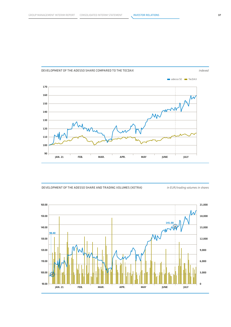

DEVELOPMENT OF THE ADESSO SHARE AND TRADING VOLUMES (XETRA) *in EUR/trading volumes in shares*

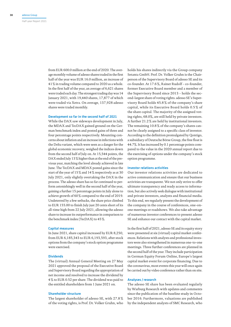from EUR 600.0 million at the end of 2020. The average monthly volume of adesso shares traded in the first half of the year was EUR 16.0 million, an increase of 41% in trading volume compared to 2020 as a whole. In the first half of the year, an average of 6,621 shares were traded each day. The strongest trading day was 14 January 2021, with 19,440 shares, 17,877 of which were traded via Xetra. On average, 137,928 adesso shares were traded monthly.

#### Development so far in the second half of 2021

While the DAX saw sideways development in July, the MDAX and TecDAX gained ground on the German benchmark index and posted gains of three and four percentage points respectively. Mounting concerns about inflation and an increase in infections with the Delta variant, which were seen as a danger for the global economic recovery, weighed the indices down from the second half of July on. At 15,544 points, the DAX ended July 13% higher than at the end of the previous year, matching the level already achieved in late June. The TecDAX and MDAX posted gains since the start of the year of 15% and 14% respectively as at 30 July 2021, only slightly overtaking the DAX in the process. The adesso share has so far continued to perform astonishingly well in the second half of the year, gaining a further 15 percentage points in July alone to achieve growth of 60% compared to the end of 2019. Undeterred by a few setbacks, the share price climbed to EUR 155.00 to finish July just 20 cents short of its all-time high from 22 July 2021, allowing the adesso share to increase its outperformance in comparison to the benchmark index (TecDAX) to 45%.

#### Capital measures

In June 2021, share capital increased by EUR 8,250, from EUR 6,185,343 to EUR 6,193,593, after stock options from the company's stock option programme were exercised.

#### **Dividends**

The (virtual) Annual General Meeting on 27 May 2021 approved the proposal of the Executive Board and Supervisory Board regarding the appropriation of net income and resolved to increase the dividend by 4% to EUR 0.52 per share. The dividend was paid to the entitled shareholders from 1 June 2021 on.

#### Shareholder structure

The largest shareholder of adesso SE, with 27.8 % of the voting rights, is Prof. Dr. Volker Gruhn, who holds his shares indirectly via the Group company Setanta GmbH. Prof. Dr. Volker Gruhn is the Chairperson of the Supervisory Board of adesso SE and its co-founder. At 17.6%, Rainer Rudolf – co-founder, former Executive Board member and a member of the Supervisory Board since 2013 – holds the second-largest share of voting rights. adesso SE's Supervisory Board holds 45.8% of the company's share capital, while its Executive Board holds 0.5 % of the share capital. The majority of the assigned voting rights, 68.0%, are still held by private investors. A further 21.2% are held by institutional investors. The remaining 10.8% of the company's shares cannot be clearly assigned to a specific class of investor. According to the definition promulgated by Qontigo, a subsidiary of Deutsche Börse Group, the free float is 44.7%. It has increased by 0.1 percentage points compared to the value in the 2020 annual report due to the exercising of options under the company's stock option programme.

#### Investor relations activities

Our investor relations activities are dedicated to active communication and ensure that our business activities are transparent. We not only strive to offer ultimate transparency and ready access to information, but also actively seek dialogue with institutional and private investors, analysts and financial media. To this end, we regularly present the development of the company in the course of conferences, one-onone meetings or roadshows. We also take advantage of numerous investor conferences to present adesso SE and enhance our contact with the capital market.

In the first half of 2021, adesso SE and its equity story were presented at six (virtual) capital market conferences. Relations with analysts and professional investors were also strengthened in numerous one-to-one meetings. Three further conferences are planned in the second half of the year. They include participation in German Equity Forum Online, Europe's largest capital market event for corporate financing. Due to the coronavirus, most events this year will once again be carried out by video conference rather than on site.

#### Analyses / research

The adesso SE share has been evaluated regularly by Warburg Research with updates and comments since the publication of the baseline study in October 2016. Furthermore, valuations are published by the independent analysts of SMC Research, who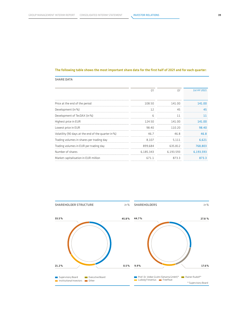SHARE DATA

#### The following table shows the most important share data for the first half of 2021 and for each quarter:

|                                                     | 01        | 02        | 1st HY 2021 |
|-----------------------------------------------------|-----------|-----------|-------------|
| Price at the end of the period                      | 108.50    | 141.00    | 141.00      |
| Development (in %)                                  | 12        | 45        | 45          |
| Development of TecDAX (in %)                        | 6         | 11        | 11          |
| Highest price in EUR                                | 124.50    | 141.00    | 141.00      |
| Lowest price in EUR                                 | 98.40     | 110.20    | 98.40       |
| Volatility (90 days at the end of the quarter in %) | 46.7      | 46.8      | 46.8        |
| Trading volumes in shares per trading day           | 8.107     | 5.111     | 6,621       |
| Trading volumes in EUR per trading day              | 899,684   | 635,812   | 768,803     |
| Number of shares                                    | 6.185.343 | 6.193.593 | 6,193,593   |
| Market capitalisation in EUR million                | 671.1     | 873.3     | 873.3       |

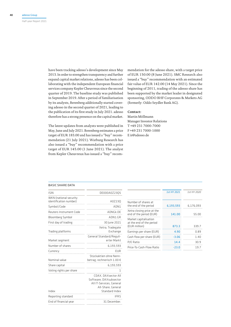have been tracking adesso's development since May 2013. In order to strengthen transparency and further expand capital market relations, adesso has been collaborating with the independent European financial services company Kepler Cheuvreux since the second quarter of 2019. The baseline study was published in September 2019. After a period of familiarisation by its analysts, Berenberg additionally started covering adesso in the second quarter of 2021, leading to the publication of its first study in July 2021. adesso therefore has a strong presence on the capital market. mendation for the adesso share, with a target price of EUR 150.00 (8 June 2021). SMC Research also issued a "buy" recommendation with an estimated fair value of EUR 142.00 (14 May 2021). Since the beginning of 2011, trading of the adesso share has been supported by the market leader in designated sponsoring, ODDO BHF Corporates & Markets AG (formerly: Oddo Seydler Bank AG).

#### **Contact:**

Martin Möllmann Manager Investor Relations T +49 231 7000-7000 F +49 231 7000-1000 E ir@adesso.de

The latest updates from analysts were published in May, June and July 2021. Berenberg estimates a price target of EUR 183.00 and has issued a "buy" recommendation (21 July 2021). Warburg Research has also issued a "buy" recommendation with a price target of EUR 145.00 (1 June 2021). The analyst from Kepler Cheuvreux has issued a "buy" recom-

#### BASIC SHARE DATA

| <b>ISIN</b>                                      | DE000A0Z2305                                                                                                       |
|--------------------------------------------------|--------------------------------------------------------------------------------------------------------------------|
| WKN (national security<br>identification number) | A0Z230                                                                                                             |
| Symbol/Code                                      | ADN1                                                                                                               |
| Reuters Instrument Code                          | ADNGk.DE                                                                                                           |
| Bloomberg Symbol                                 | ADN1:GR                                                                                                            |
| First day of trading                             | 30 June 2021                                                                                                       |
| Trading platforms                                | Xetra, Tradegate<br>Exchange                                                                                       |
| Market segment                                   | General Standard/Reguli-<br>erter Markt                                                                            |
| Number of shares                                 | 6,193,593                                                                                                          |
| Currency                                         | <b>FUR</b>                                                                                                         |
| Nominal value                                    | Stückaktien ohne Nenn-<br>betrag; rechnerisch 1.00 €                                                               |
| Share capital                                    | 6,193,593                                                                                                          |
| Voting rights per share                          |                                                                                                                    |
| Index                                            | CDAX, DAX sector All<br>Software, DAXsubsector<br>All IT-Services, General<br>All-Share, General<br>Standard Index |
| Reporting standard                               | IFRS                                                                                                               |
| End of financial year                            | 31 December.                                                                                                       |

|                                                                    | 1st HY 2021 | 1st HY 2020 |
|--------------------------------------------------------------------|-------------|-------------|
| Number of shares at<br>the end of the period                       | 6,193,593   | 6.176.093   |
| Xetra closing price at the<br>end of the period (EUR)              | 141.00      | 55 NN       |
| Market capitalisation<br>at the end of the period<br>(EUR million) | 873.3       | 339.7       |
| Earnings per share (EUR)                                           | 4 9N        | በ ጸዓ        |
| Cash flow per share (EUR)                                          | -3.06       | 1 4N        |
| P/E Ratio                                                          | 14.4        | 30 Y        |
| Price-To-Cash-Flow Ratio                                           | $-23.0$     | 197         |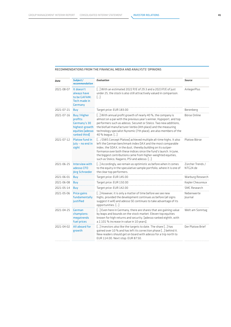#### RECOMMENDATIONS FROM THE FINANCIAL MEDIA AND ANALYSTS' OPINIONS

| Date       | Subject/<br>recommendation                                                                    | <b>Evaluation</b>                                                                                                                                                                                                                                                                                                                                                                       | <b>Source</b>                |
|------------|-----------------------------------------------------------------------------------------------|-----------------------------------------------------------------------------------------------------------------------------------------------------------------------------------------------------------------------------------------------------------------------------------------------------------------------------------------------------------------------------------------|------------------------------|
| 2021-08-07 | It doesn't<br>always have<br>to be GAFAM:<br>Tech made in<br>Germany                          | [] With an estimated 2022 P/E of 29.3 and a 2023 P/E of just<br>under 25, the stock is also still attractively valued in comparison.<br>L.I                                                                                                                                                                                                                                             | AnlegerPlus                  |
| 2021-07-21 | Buy                                                                                           | Target price: EUR 183.00                                                                                                                                                                                                                                                                                                                                                                | Berenberg                    |
| 2021-07-16 | Buy/Higher<br>profits:<br>Germany's 30<br>highest-growth<br>equities [adesso<br>ranked thirdl | [] With annual profit growth of nearly 40 %, the company is<br>almost on a par with the previous year's winner, Hypoport, and top<br>performers such as adesso, Secunet or Steico. Two new additions,<br>the biofuel manufacturer Verbio (4th place) and the measuring<br>technology specialist Nynomic (7th place), are also members of the<br>40 % league. []                         | Börse Online                 |
| 2021-07-12 | Platow fund in<br>$ ulv - no end in$<br>sight                                                 | [ / DWS Concept Platow] achieved multiple all-time highs. It also<br>left the German benchmark index DAX and the most comparable<br>index, the SDAX, in the dust, thereby building on its outper-<br>formance over both these indices since the fund's launch. In June,<br>the biggest contributions came from higher-weighted equities,<br>such as Steico, Nagarro, PSI and adesso. [] | Platow Börse                 |
| 2021-06-25 | Interview with<br>adesso CFO<br>Jörg Schroeder                                                | [] Accordingly, we remain as optimistic as before when it comes<br>to the equity in the speculative sample portfolio, where it is one of<br>the clear top performers.                                                                                                                                                                                                                   | Zürcher Trends /<br>NTG24.de |
| 2021-06-01 | Buy                                                                                           | Target price: EUR 145.00                                                                                                                                                                                                                                                                                                                                                                | Warburg Research             |
| 2021-06-08 | Buy                                                                                           | Target price: EUR 150.00                                                                                                                                                                                                                                                                                                                                                                | Kepler Cheuvreux             |
| 2021-05-14 | Buy                                                                                           | Target price: EUR 142.00                                                                                                                                                                                                                                                                                                                                                                | <b>SMC Research</b>          |
| 2021-05-06 | <b>Price gains</b><br>fundamentally<br>justified                                              | [] However, it is only a matter of time before we see new<br>highs, provided the development continues as before (all signs<br>suggest it will) and adesso SE continues to take advantage of its<br>opportunities. []                                                                                                                                                                   | Nebenwerte<br>lournal        |
| 2021-04-25 | German<br>champions:<br>megatrends<br>fuel prices                                             | [] Even here in Germany, there are shares that are gaining value<br>by leaps and bounds on the stock market. Eleven top equities<br>known for high returns and security. [adesso ranked eighth, with<br>a 2,101 % increase in value in 10 years].                                                                                                                                       | Welt am Sonntag              |
| 2021-04-02 | All aboard for<br>growth                                                                      | [] Investors also like the targets to date. The share [] has<br>gained over 10 % and has left its correction phase [] behind it.<br>New readers should get on board with adesso for a trip north to<br>EUR 114.00. Next stop: EUR 87.50.                                                                                                                                                | Der Platow Brief             |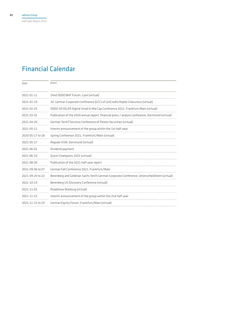# Financial Calendar

| <b>Date</b>      | Fvent                                                                                           |
|------------------|-------------------------------------------------------------------------------------------------|
| 2021-01-11       | 24nd ODDO BHF Forum, Lyon (virtual)                                                             |
| 2021-01-19       | 20. German Corporate Conference (GCC) of UniCredit/Kepler Cheuvreux (virtual)                   |
| 2021-02-25       | ODDO SEYDLER Digital Small & Mid Cap Conference 2021, Frankfurt/Main (virtual)                  |
| 2021-03-31       | Publication of the 2020 annual report, financial press / analyst conference, Dortmund (virtual) |
| 2021-04-20       | German TechITServices Conference of Pareto Securities (virtual)                                 |
| 2021-05-12       | Interim announcement of the group within the 1st half-year                                      |
| 2020-05-17 to 18 | Spring Conference 2021, Frankfurt/Main (virtual)                                                |
| 2021-05-27       | Regular ASM, Dortmund (virtual)                                                                 |
| 2021-06-01       | Dividend payment                                                                                |
| 2021-06-10       | Quirin Champions 2021 (virtual)                                                                 |
| 2021-08-30       | Publication of the 2021 half-year report                                                        |
| 2021-09-06 to 07 | German Fall Conference 2021, Frankfurt/Main                                                     |
| 2021-09-20 to 22 | Berenberg and Goldman Sachs Tenth German Corporate Conference, Unterschleißheim (virtual)       |
| 2021-10-19       | Berenberg US Discovery Conference (virtual)                                                     |
| 2021-11-02       | Roadshow Warburg (virtual)                                                                      |
| 2021-11-15       | Interim announcement of the group within the 2nd half-year                                      |
| 2021-11-22 to 24 | German Equity Forum, Frankfurt/Main (virtual)                                                   |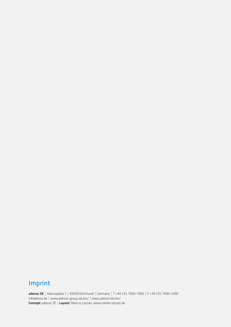# Imprint

adesso SE | Adessoplatz 1 | 44269 Dortmund | Germany | T +49 231 7000-7000 | F +49 231 7000-1000 ir@adesso.de | www.adesso-group.de/en/ | www.adesso.de/en/ Concept: adesso SE | Layout: Marcus Lazzari, www.roeske-lazzari.de